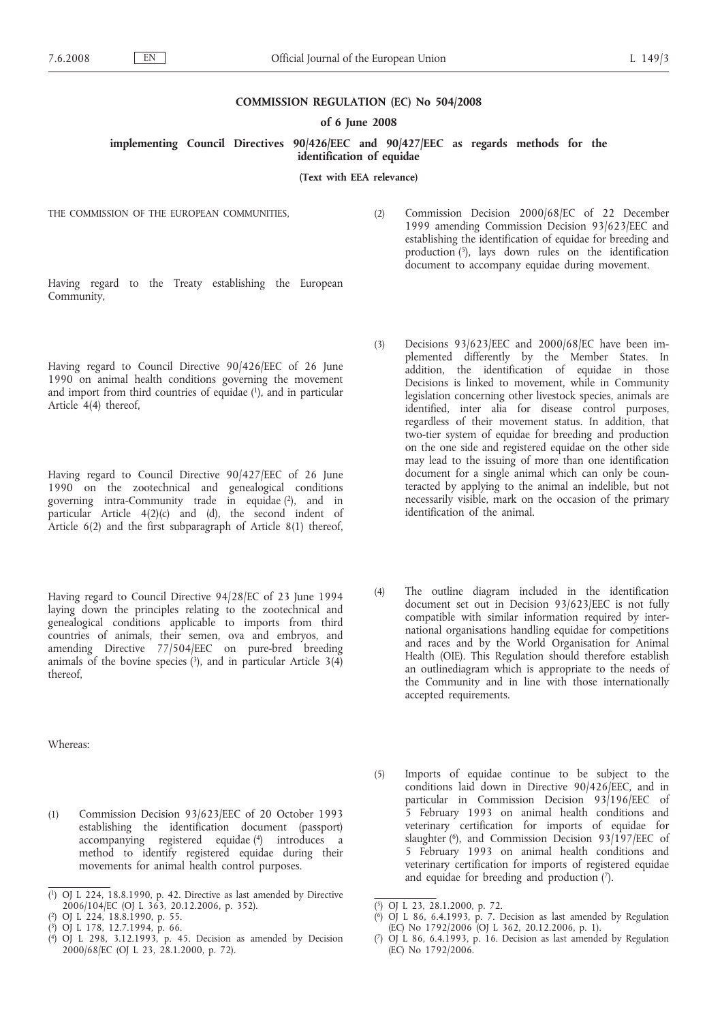### **COMMISSION REGULATION (EC) No 504/2008**

### **of 6 June 2008**

**implementing Council Directives 90/426/EEC and 90/427/EEC as regards methods for the identification of equidae**

### **(Text with EEA relevance)**

THE COMMISSION OF THE EUROPEAN COMMUNITIES,

(2) Commission Decision 2000/68/EC of 22 December 1999 amending Commission Decision 93/623/EEC and establishing the identification of equidae for breeding and production  $(5)$ , lays down rules on the identification document to accompany equidae during movement.

Having regard to the Treaty establishing the European Community,

Having regard to Council Directive 90/426/EEC of 26 June 1990 on animal health conditions governing the movement and import from third countries of equidae (1), and in particular Article 4(4) thereof,

Having regard to Council Directive 90/427/EEC of 26 June 1990 on the zootechnical and genealogical conditions governing intra-Community trade in equidae (2), and in particular Article 4(2)(c) and (d), the second indent of Article 6(2) and the first subparagraph of Article 8(1) thereof,

Having regard to Council Directive 94/28/EC of 23 June 1994 laying down the principles relating to the zootechnical and genealogical conditions applicable to imports from third countries of animals, their semen, ova and embryos, and amending Directive 77/504/EEC on pure-bred breeding animals of the bovine species  $(3)$ , and in particular Article  $3(4)$ thereof,

Whereas:

(1) Commission Decision 93/623/EEC of 20 October 1993 establishing the identification document (passport) accompanying registered equidae (4) introduces a method to identify registered equidae during their movements for animal health control purposes.

- (3) Decisions 93/623/EEC and 2000/68/EC have been implemented differently by the Member States. In addition, the identification of equidae in those Decisions is linked to movement, while in Community legislation concerning other livestock species, animals are identified, inter alia for disease control purposes, regardless of their movement status. In addition, that two-tier system of equidae for breeding and production on the one side and registered equidae on the other side may lead to the issuing of more than one identification document for a single animal which can only be counteracted by applying to the animal an indelible, but not necessarily visible, mark on the occasion of the primary identification of the animal.
- (4) The outline diagram included in the identification document set out in Decision 93/623/EEC is not fully compatible with similar information required by international organisations handling equidae for competitions and races and by the World Organisation for Animal Health (OIE). This Regulation should therefore establish an outlinediagram which is appropriate to the needs of the Community and in line with those internationally accepted requirements.
- (5) Imports of equidae continue to be subject to the conditions laid down in Directive 90/426/EEC, and in particular in Commission Decision 93/196/EEC of 5 February 1993 on animal health conditions and veterinary certification for imports of equidae for slaughter  $(6)$ , and Commission Decision 93/197/EEC of 5 February 1993 on animal health conditions and veterinary certification for imports of registered equidae and equidae for breeding and production (7).

<sup>(</sup> 1) OJ L 224, 18.8.1990, p. 42. Directive as last amended by Directive 2006/104/EC (OJ L 363, 20.12.2006, p. 352).

<sup>(</sup> 2) OJ L 224, 18.8.1990, p. 55.

<sup>(</sup> 3) OJ L 178, 12.7.1994, p. 66.

<sup>(</sup> 4) OJ L 298, 3.12.1993, p. 45. Decision as amended by Decision 2000/68/EC (OJ L 23, 28.1.2000, p. 72).

<sup>(</sup> 5) OJ L 23, 28.1.2000, p. 72.

<sup>(</sup> 6) OJ L 86, 6.4.1993, p. 7. Decision as last amended by Regulation (EC) No 1792/2006 (OJ L 362, 20.12.2006, p. 1).

<sup>(</sup> 7) OJ L 86, 6.4.1993, p. 16. Decision as last amended by Regulation (EC) No 1792/2006.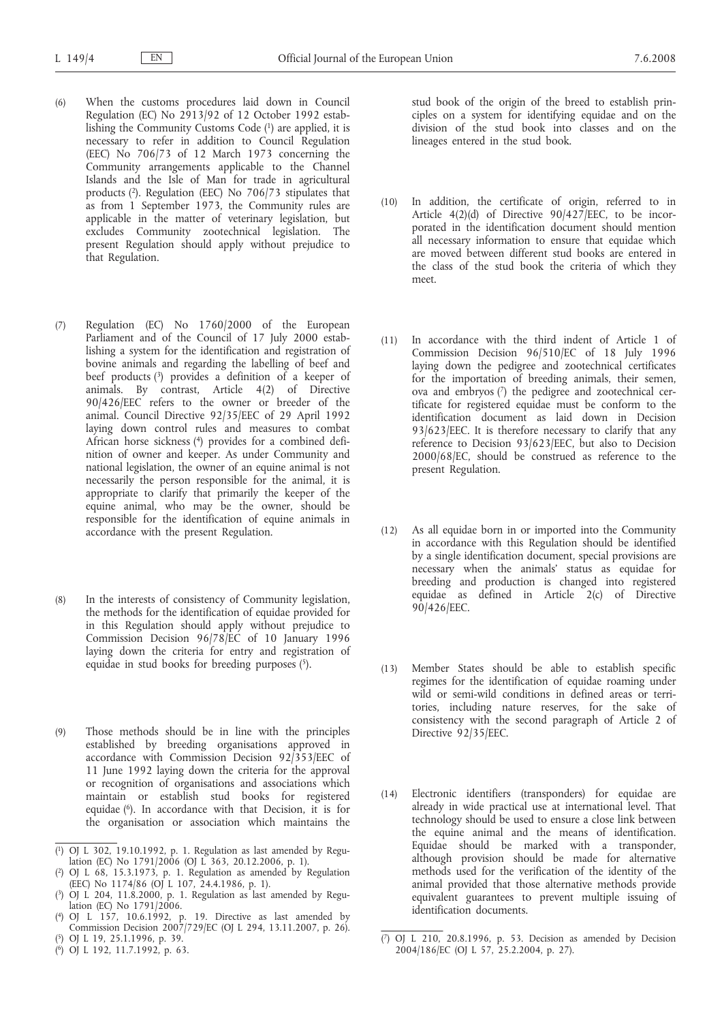- (6) When the customs procedures laid down in Council Regulation (EC) No 2913/92 of 12 October 1992 establishing the Community Customs Code (1) are applied, it is necessary to refer in addition to Council Regulation (EEC) No 706/73 of 12 March 1973 concerning the Community arrangements applicable to the Channel Islands and the Isle of Man for trade in agricultural products (2). Regulation (EEC) No 706/73 stipulates that as from 1 September 1973, the Community rules are applicable in the matter of veterinary legislation, but excludes Community zootechnical legislation. The present Regulation should apply without prejudice to that Regulation.
- (7) Regulation (EC) No 1760/2000 of the European Parliament and of the Council of 17 July 2000 establishing a system for the identification and registration of bovine animals and regarding the labelling of beef and beef products (3) provides a definition of a keeper of animals. By contrast, Article 4(2) of Directive 90/426/EEC refers to the owner or breeder of the animal. Council Directive 92/35/EEC of 29 April 1992 laying down control rules and measures to combat African horse sickness (4) provides for a combined definition of owner and keeper. As under Community and national legislation, the owner of an equine animal is not necessarily the person responsible for the animal, it is appropriate to clarify that primarily the keeper of the equine animal, who may be the owner, should be responsible for the identification of equine animals in accordance with the present Regulation.
- (8) In the interests of consistency of Community legislation, the methods for the identification of equidae provided for in this Regulation should apply without prejudice to Commission Decision 96/78/EC of 10 January 1996 laying down the criteria for entry and registration of equidae in stud books for breeding purposes  $(5)$ .
- (9) Those methods should be in line with the principles established by breeding organisations approved in accordance with Commission Decision 92/353/EEC of 11 June 1992 laying down the criteria for the approval or recognition of organisations and associations which maintain or establish stud books for registered equidae  $(6)$ . In accordance with that Decision, it is for the organisation or association which maintains the

- ( 5) OJ L 19, 25.1.1996, p. 39.
- ( 6) OJ L 192, 11.7.1992, p. 63.

stud book of the origin of the breed to establish principles on a system for identifying equidae and on the division of the stud book into classes and on the lineages entered in the stud book.

- (10) In addition, the certificate of origin, referred to in Article  $4(2)(d)$  of Directive  $90/427/EEC$ , to be incorporated in the identification document should mention all necessary information to ensure that equidae which are moved between different stud books are entered in the class of the stud book the criteria of which they meet.
- (11) In accordance with the third indent of Article 1 of Commission Decision 96/510/EC of 18 July 1996 laying down the pedigree and zootechnical certificates for the importation of breeding animals, their semen, ova and embryos (7) the pedigree and zootechnical certificate for registered equidae must be conform to the identification document as laid down in Decision 93/623/EEC. It is therefore necessary to clarify that any reference to Decision 93/623/EEC, but also to Decision 2000/68/EC, should be construed as reference to the present Regulation.
- (12) As all equidae born in or imported into the Community in accordance with this Regulation should be identified by a single identification document, special provisions are necessary when the animals' status as equidae for breeding and production is changed into registered equidae as defined in Article 2(c) of Directive 90/426/EEC.
- (13) Member States should be able to establish specific regimes for the identification of equidae roaming under wild or semi-wild conditions in defined areas or territories, including nature reserves, for the sake of consistency with the second paragraph of Article 2 of Directive 92/35/EEC.
- (14) Electronic identifiers (transponders) for equidae are already in wide practical use at international level. That technology should be used to ensure a close link between the equine animal and the means of identification. Equidae should be marked with a transponder, although provision should be made for alternative methods used for the verification of the identity of the animal provided that those alternative methods provide equivalent guarantees to prevent multiple issuing of identification documents.

<sup>(</sup> 1) OJ L 302, 19.10.1992, p. 1. Regulation as last amended by Regulation (EC) No 1791/2006 (OJ L 363, 20.12.2006, p. 1).

<sup>(</sup> 2) OJ L 68, 15.3.1973, p. 1. Regulation as amended by Regulation (EEC) No 1174/86 (OJ L 107, 24.4.1986, p. 1).

<sup>(</sup> 3) OJ L 204, 11.8.2000, p. 1. Regulation as last amended by Regulation (EC) No 1791/2006.

<sup>(</sup> 4) OJ L 157, 10.6.1992, p. 19. Directive as last amended by Commission Decision 2007/729/EC (OJ L 294, 13.11.2007, p. 26).

<sup>(</sup> 7) OJ L 210, 20.8.1996, p. 53. Decision as amended by Decision 2004/186/EC (OJ L 57, 25.2.2004, p. 27).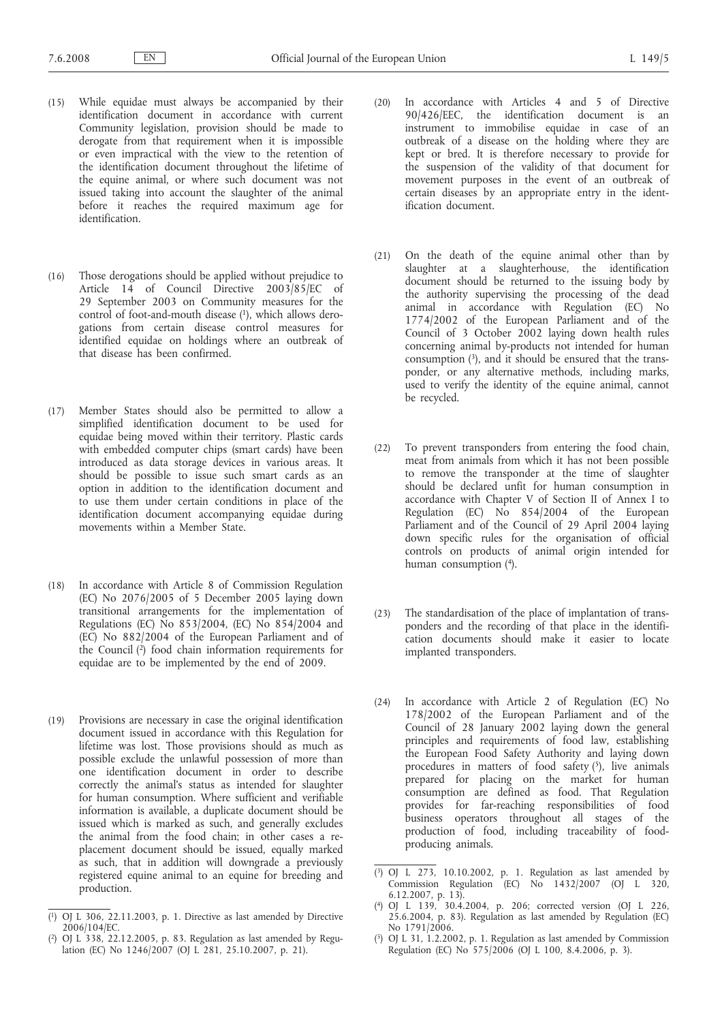- (15) While equidae must always be accompanied by their identification document in accordance with current Community legislation, provision should be made to derogate from that requirement when it is impossible or even impractical with the view to the retention of the identification document throughout the lifetime of the equine animal, or where such document was not issued taking into account the slaughter of the animal before it reaches the required maximum age for identification.
- (16) Those derogations should be applied without prejudice to Article 14 of Council Directive 2003/85/EC of 29 September 2003 on Community measures for the control of foot-and-mouth disease  $(1)$ , which allows derogations from certain disease control measures for identified equidae on holdings where an outbreak of that disease has been confirmed.
- (17) Member States should also be permitted to allow a simplified identification document to be used for equidae being moved within their territory. Plastic cards with embedded computer chips (smart cards) have been introduced as data storage devices in various areas. It should be possible to issue such smart cards as an option in addition to the identification document and to use them under certain conditions in place of the identification document accompanying equidae during movements within a Member State.
- (18) In accordance with Article 8 of Commission Regulation (EC) No 2076/2005 of 5 December 2005 laying down transitional arrangements for the implementation of Regulations (EC) No  $853/2004$ , (EC) No  $854/2004$  and (EC) No 882/2004 of the European Parliament and of the Council  $(2)$  food chain information requirements for equidae are to be implemented by the end of 2009.
- (19) Provisions are necessary in case the original identification document issued in accordance with this Regulation for lifetime was lost. Those provisions should as much as possible exclude the unlawful possession of more than one identification document in order to describe correctly the animal's status as intended for slaughter for human consumption. Where sufficient and verifiable information is available, a duplicate document should be issued which is marked as such, and generally excludes the animal from the food chain; in other cases a replacement document should be issued, equally marked as such, that in addition will downgrade a previously registered equine animal to an equine for breeding and production.
- (20) In accordance with Articles 4 and 5 of Directive 90/426/EEC, the identification document is an instrument to immobilise equidae in case of an outbreak of a disease on the holding where they are kept or bred. It is therefore necessary to provide for the suspension of the validity of that document for movement purposes in the event of an outbreak of certain diseases by an appropriate entry in the identification document.
- (21) On the death of the equine animal other than by slaughter at a slaughterhouse, the identification document should be returned to the issuing body by the authority supervising the processing of the dead animal in accordance with Regulation (EC) No 1774/2002 of the European Parliament and of the Council of 3 October 2002 laying down health rules concerning animal by-products not intended for human consumption (3), and it should be ensured that the transponder, or any alternative methods, including marks, used to verify the identity of the equine animal, cannot be recycled.
- (22) To prevent transponders from entering the food chain, meat from animals from which it has not been possible to remove the transponder at the time of slaughter should be declared unfit for human consumption in accordance with Chapter V of Section II of Annex I to Regulation (EC) No 854/2004 of the European Parliament and of the Council of 29 April 2004 laying down specific rules for the organisation of official controls on products of animal origin intended for human consumption (4).
- (23) The standardisation of the place of implantation of transponders and the recording of that place in the identification documents should make it easier to locate implanted transponders.
- (24) In accordance with Article 2 of Regulation (EC) No 178/2002 of the European Parliament and of the Council of 28 January 2002 laying down the general principles and requirements of food law, establishing the European Food Safety Authority and laying down procedures in matters of food safety  $(5)$ , live animals prepared for placing on the market for human consumption are defined as food. That Regulation provides for far-reaching responsibilities of food business operators throughout all stages of the production of food, including traceability of foodproducing animals.

<sup>(</sup> 1) OJ L 306, 22.11.2003, p. 1. Directive as last amended by Directive 2006/104/EC.

<sup>(</sup> OJ L  $338$ , 22.12.2005, p. 83. Regulation as last amended by Regulation (EC) No 1246/2007 (OJ L 281, 25.10.2007, p. 21).

<sup>(</sup> 3) OJ L 273, 10.10.2002, p. 1. Regulation as last amended by Commission Regulation (EC) No 1432/2007 (OJ L 320, 6.12.2007, p. 13).

<sup>(</sup> 4) OJ L 139, 30.4.2004, p. 206; corrected version (OJ L 226, 25.6.2004, p. 83). Regulation as last amended by Regulation (EC) No 1791/2006.

<sup>(</sup> 5) OJ L 31, 1.2.2002, p. 1. Regulation as last amended by Commission Regulation (EC) No 575/2006 (OJ L 100, 8.4.2006, p. 3).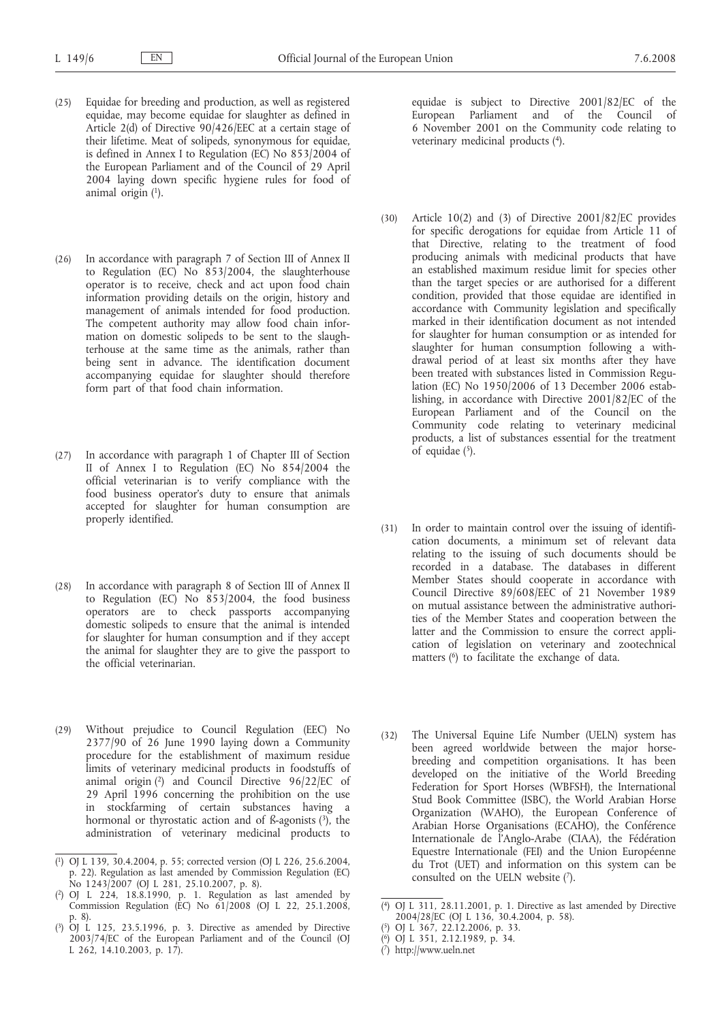- (25) Equidae for breeding and production, as well as registered equidae, may become equidae for slaughter as defined in Article 2(d) of Directive 90/426/EEC at a certain stage of their lifetime. Meat of solipeds, synonymous for equidae, is defined in Annex I to Regulation (EC) No 853/2004 of the European Parliament and of the Council of 29 April 2004 laying down specific hygiene rules for food of animal origin  $(1)$ .
- (26) In accordance with paragraph 7 of Section III of Annex II to Regulation (EC) No 853/2004, the slaughterhouse operator is to receive, check and act upon food chain information providing details on the origin, history and management of animals intended for food production. The competent authority may allow food chain information on domestic solipeds to be sent to the slaughterhouse at the same time as the animals, rather than being sent in advance. The identification document accompanying equidae for slaughter should therefore form part of that food chain information.
- (27) In accordance with paragraph 1 of Chapter III of Section II of Annex I to Regulation (EC) No 854/2004 the official veterinarian is to verify compliance with the food business operator's duty to ensure that animals accepted for slaughter for human consumption are properly identified.
- (28) In accordance with paragraph 8 of Section III of Annex II to Regulation (EC) No 853/2004, the food business operators are to check passports accompanying domestic solipeds to ensure that the animal is intended for slaughter for human consumption and if they accept the animal for slaughter they are to give the passport to the official veterinarian.
- (29) Without prejudice to Council Regulation (EEC) No 2377/90 of 26 June 1990 laying down a Community procedure for the establishment of maximum residue limits of veterinary medicinal products in foodstuffs of animal origin (2) and Council Directive 96/22/EC of 29 April 1996 concerning the prohibition on the use in stockfarming of certain substances having a hormonal or thyrostatic action and of ß-agonists (3), the administration of veterinary medicinal products to

equidae is subject to Directive 2001/82/EC of the European Parliament and of the Council of 6 November 2001 on the Community code relating to veterinary medicinal products (4).

- (30) Article 10(2) and (3) of Directive 2001/82/EC provides for specific derogations for equidae from Article 11 of that Directive, relating to the treatment of food producing animals with medicinal products that have an established maximum residue limit for species other than the target species or are authorised for a different condition, provided that those equidae are identified in accordance with Community legislation and specifically marked in their identification document as not intended for slaughter for human consumption or as intended for slaughter for human consumption following a withdrawal period of at least six months after they have been treated with substances listed in Commission Regulation (EC) No 1950/2006 of 13 December 2006 establishing, in accordance with Directive 2001/82/EC of the European Parliament and of the Council on the Community code relating to veterinary medicinal products, a list of substances essential for the treatment of equidae  $(5)$ .
- (31) In order to maintain control over the issuing of identification documents, a minimum set of relevant data relating to the issuing of such documents should be recorded in a database. The databases in different Member States should cooperate in accordance with Council Directive 89/608/EEC of 21 November 1989 on mutual assistance between the administrative authorities of the Member States and cooperation between the latter and the Commission to ensure the correct application of legislation on veterinary and zootechnical matters (6) to facilitate the exchange of data.
- (32) The Universal Equine Life Number (UELN) system has been agreed worldwide between the major horsebreeding and competition organisations. It has been developed on the initiative of the World Breeding Federation for Sport Horses (WBFSH), the International Stud Book Committee (ISBC), the World Arabian Horse Organization (WAHO), the European Conference of Arabian Horse Organisations (ECAHO), the Conférence Internationale de l'Anglo-Arabe (CIAA), the Fédération Equestre Internationale (FEI) and the Union Européenne du Trot (UET) and information on this system can be consulted on the UELN website (7).

<sup>(</sup> 1) OJ L 139, 30.4.2004, p. 55; corrected version (OJ L 226, 25.6.2004, p. 22). Regulation as last amended by Commission Regulation (EC) No 1243/2007 (OJ L 281, 25.10.2007, p. 8).

<sup>(</sup> 2) OJ L 224, 18.8.1990, p. 1. Regulation as last amended by Commission Regulation (EC) No  $61/2008$  (OJ L 22, 25.1.2008, p. 8).

<sup>(</sup> 3) OJ L 125, 23.5.1996, p. 3. Directive as amended by Directive 2003/74/EC of the European Parliament and of the Council (OJ L 262, 14.10.2003, p. 17).

<sup>(</sup> 4) OJ L 311, 28.11.2001, p. 1. Directive as last amended by Directive 2004/28/EC (OJ L 136, 30.4.2004, p. 58).

<sup>(</sup> 5) OJ L 367, 22.12.2006, p. 33.

<sup>(</sup> 6) OJ L 351, 2.12.1989, p. 34.

<sup>(</sup> 7) http://www.ueln.net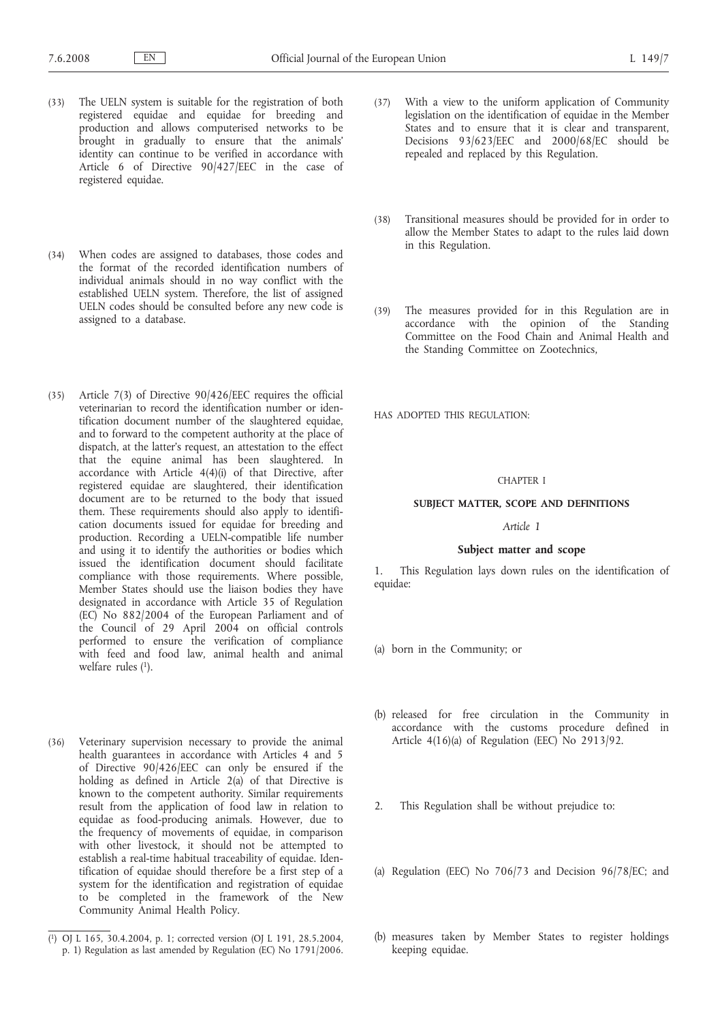- (33) The UELN system is suitable for the registration of both registered equidae and equidae for breeding and production and allows computerised networks to be brought in gradually to ensure that the animals' identity can continue to be verified in accordance with Article 6 of Directive 90/427/EEC in the case of registered equidae.
- (34) When codes are assigned to databases, those codes and the format of the recorded identification numbers of individual animals should in no way conflict with the established UELN system. Therefore, the list of assigned UELN codes should be consulted before any new code is assigned to a database.
- (35) Article 7(3) of Directive 90/426/EEC requires the official veterinarian to record the identification number or identification document number of the slaughtered equidae, and to forward to the competent authority at the place of dispatch, at the latter's request, an attestation to the effect that the equine animal has been slaughtered. In accordance with Article 4(4)(i) of that Directive, after registered equidae are slaughtered, their identification document are to be returned to the body that issued them. These requirements should also apply to identification documents issued for equidae for breeding and production. Recording a UELN-compatible life number and using it to identify the authorities or bodies which issued the identification document should facilitate compliance with those requirements. Where possible, Member States should use the liaison bodies they have designated in accordance with Article 35 of Regulation (EC) No 882/2004 of the European Parliament and of the Council of 29 April 2004 on official controls performed to ensure the verification of compliance with feed and food law, animal health and animal welfare rules  $(1)$ .
- (36) Veterinary supervision necessary to provide the animal health guarantees in accordance with Articles 4 and 5 of Directive 90/426/EEC can only be ensured if the holding as defined in Article 2(a) of that Directive is known to the competent authority. Similar requirements result from the application of food law in relation to equidae as food-producing animals. However, due to the frequency of movements of equidae, in comparison with other livestock, it should not be attempted to establish a real-time habitual traceability of equidae. Identification of equidae should therefore be a first step of a system for the identification and registration of equidae to be completed in the framework of the New Community Animal Health Policy.
- (37) With a view to the uniform application of Community legislation on the identification of equidae in the Member States and to ensure that it is clear and transparent, Decisions 93/623/EEC and 2000/68/EC should be repealed and replaced by this Regulation.
- (38) Transitional measures should be provided for in order to allow the Member States to adapt to the rules laid down in this Regulation.
- (39) The measures provided for in this Regulation are in accordance with the opinion of the Standing Committee on the Food Chain and Animal Health and the Standing Committee on Zootechnics,

HAS ADOPTED THIS REGULATION:

### CHAPTER I

### **SUBJECT MATTER, SCOPE AND DEFINITIONS**

### *Article 1*

### **Subject matter and scope**

1. This Regulation lays down rules on the identification of equidae:

- (a) born in the Community; or
- (b) released for free circulation in the Community in accordance with the customs procedure defined in Article  $4(16)(a)$  of Regulation (EEC) No 2913/92.
- 2. This Regulation shall be without prejudice to:
- (a) Regulation (EEC) No 706/73 and Decision 96/78/EC; and
- (b) measures taken by Member States to register holdings keeping equidae.

<sup>(</sup> 1) OJ L 165, 30.4.2004, p. 1; corrected version (OJ L 191, 28.5.2004, p. 1) Regulation as last amended by Regulation (EC) No 1791/2006.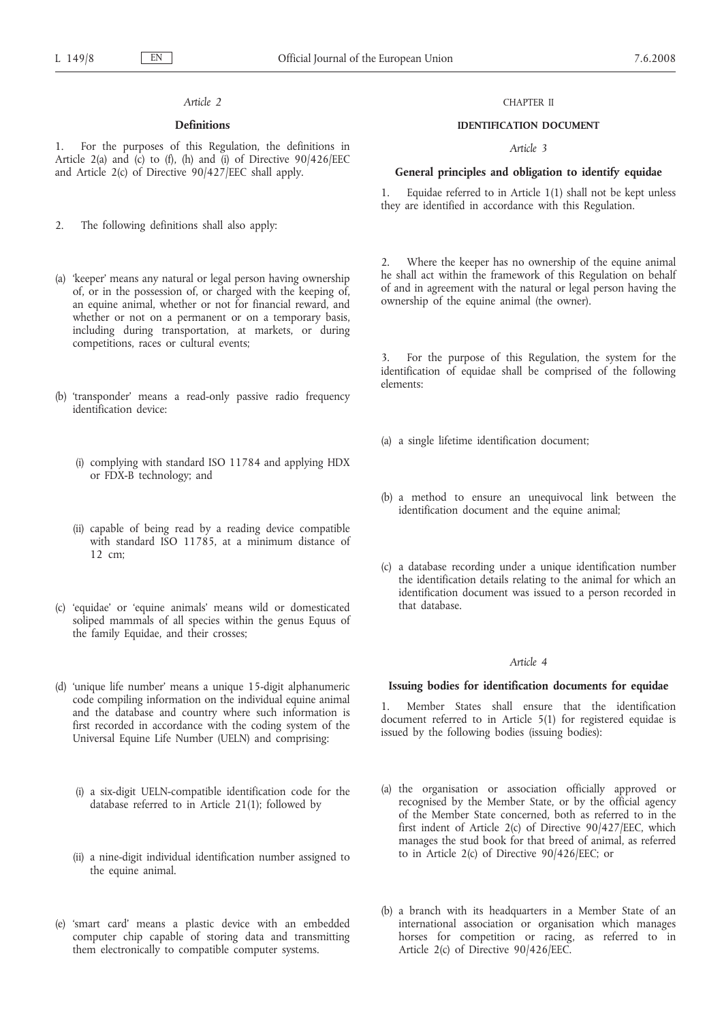### *Article 2*

### **Definitions**

1. For the purposes of this Regulation, the definitions in Article 2(a) and (c) to (f), (h) and (i) of Directive  $90/426/EEC$ and Article 2(c) of Directive 90/427/EEC shall apply.

2. The following definitions shall also apply:

- (a) 'keeper' means any natural or legal person having ownership of, or in the possession of, or charged with the keeping of, an equine animal, whether or not for financial reward, and whether or not on a permanent or on a temporary basis, including during transportation, at markets, or during competitions, races or cultural events;
- (b) 'transponder' means a read-only passive radio frequency identification device:
	- (i) complying with standard ISO 11784 and applying HDX or FDX-B technology; and
	- (ii) capable of being read by a reading device compatible with standard ISO 11785, at a minimum distance of 12 cm;
- (c) 'equidae' or 'equine animals' means wild or domesticated soliped mammals of all species within the genus Equus of the family Equidae, and their crosses;
- (d) 'unique life number' means a unique 15-digit alphanumeric code compiling information on the individual equine animal and the database and country where such information is first recorded in accordance with the coding system of the Universal Equine Life Number (UELN) and comprising:
	- (i) a six-digit UELN-compatible identification code for the database referred to in Article 21(1); followed by
	- (ii) a nine-digit individual identification number assigned to the equine animal.
- (e) 'smart card' means a plastic device with an embedded computer chip capable of storing data and transmitting them electronically to compatible computer systems.

### CHAPTER II

### **IDENTIFICATION DOCUMENT**

### *Article 3*

### **General principles and obligation to identify equidae**

1. Equidae referred to in Article 1(1) shall not be kept unless they are identified in accordance with this Regulation.

2. Where the keeper has no ownership of the equine animal he shall act within the framework of this Regulation on behalf of and in agreement with the natural or legal person having the ownership of the equine animal (the owner).

3. For the purpose of this Regulation, the system for the identification of equidae shall be comprised of the following elements:

- (a) a single lifetime identification document;
- (b) a method to ensure an unequivocal link between the identification document and the equine animal;
- (c) a database recording under a unique identification number the identification details relating to the animal for which an identification document was issued to a person recorded in that database.

### *Article 4*

### **Issuing bodies for identification documents for equidae**

1. Member States shall ensure that the identification document referred to in Article 5(1) for registered equidae is issued by the following bodies (issuing bodies):

- (a) the organisation or association officially approved or recognised by the Member State, or by the official agency of the Member State concerned, both as referred to in the first indent of Article 2(c) of Directive 90/427/EEC, which manages the stud book for that breed of animal, as referred to in Article 2(c) of Directive 90/426/EEC; or
- (b) a branch with its headquarters in a Member State of an international association or organisation which manages horses for competition or racing, as referred to in Article 2(c) of Directive 90/426/EEC.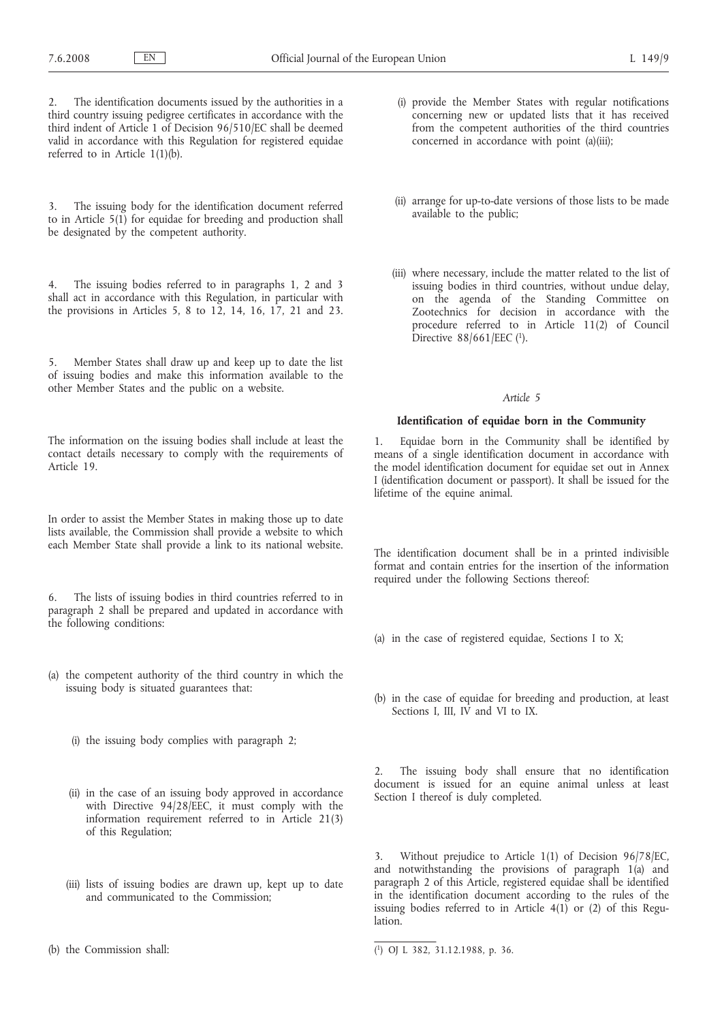The identification documents issued by the authorities in a third country issuing pedigree certificates in accordance with the third indent of Article 1 of Decision 96/510/EC shall be deemed valid in accordance with this Regulation for registered equidae referred to in Article 1(1)(b).

3. The issuing body for the identification document referred to in Article 5(1) for equidae for breeding and production shall be designated by the competent authority.

4. The issuing bodies referred to in paragraphs 1, 2 and 3 shall act in accordance with this Regulation, in particular with the provisions in Articles 5, 8 to 12, 14, 16, 17, 21 and 23.

5. Member States shall draw up and keep up to date the list of issuing bodies and make this information available to the other Member States and the public on a website.

The information on the issuing bodies shall include at least the contact details necessary to comply with the requirements of Article 19.

In order to assist the Member States in making those up to date lists available, the Commission shall provide a website to which each Member State shall provide a link to its national website.

6. The lists of issuing bodies in third countries referred to in paragraph 2 shall be prepared and updated in accordance with the following conditions:

- (a) the competent authority of the third country in which the issuing body is situated guarantees that:
	- (i) the issuing body complies with paragraph 2;
	- (ii) in the case of an issuing body approved in accordance with Directive 94/28/EEC, it must comply with the information requirement referred to in Article 21(3) of this Regulation;
	- (iii) lists of issuing bodies are drawn up, kept up to date and communicated to the Commission;
- (b) the Commission shall:
- (i) provide the Member States with regular notifications concerning new or updated lists that it has received from the competent authorities of the third countries concerned in accordance with point (a)(iii);
- (ii) arrange for up-to-date versions of those lists to be made available to the public;
- (iii) where necessary, include the matter related to the list of issuing bodies in third countries, without undue delay, on the agenda of the Standing Committee on Zootechnics for decision in accordance with the procedure referred to in Article 11(2) of Council Directive  $88/661/EEC$  (1).

### *Article 5*

### **Identification of equidae born in the Community**

1. Equidae born in the Community shall be identified by means of a single identification document in accordance with the model identification document for equidae set out in Annex I (identification document or passport). It shall be issued for the lifetime of the equine animal.

The identification document shall be in a printed indivisible format and contain entries for the insertion of the information required under the following Sections thereof:

- (a) in the case of registered equidae, Sections I to X;
- (b) in the case of equidae for breeding and production, at least Sections I, III, IV and VI to IX.

2. The issuing body shall ensure that no identification document is issued for an equine animal unless at least Section I thereof is duly completed.

3. Without prejudice to Article 1(1) of Decision 96/78/EC, and notwithstanding the provisions of paragraph 1(a) and paragraph 2 of this Article, registered equidae shall be identified in the identification document according to the rules of the issuing bodies referred to in Article  $4(1)$  or (2) of this Regulation<sup>-</sup>

<sup>(</sup> 1) OJ L 382, 31.12.1988, p. 36.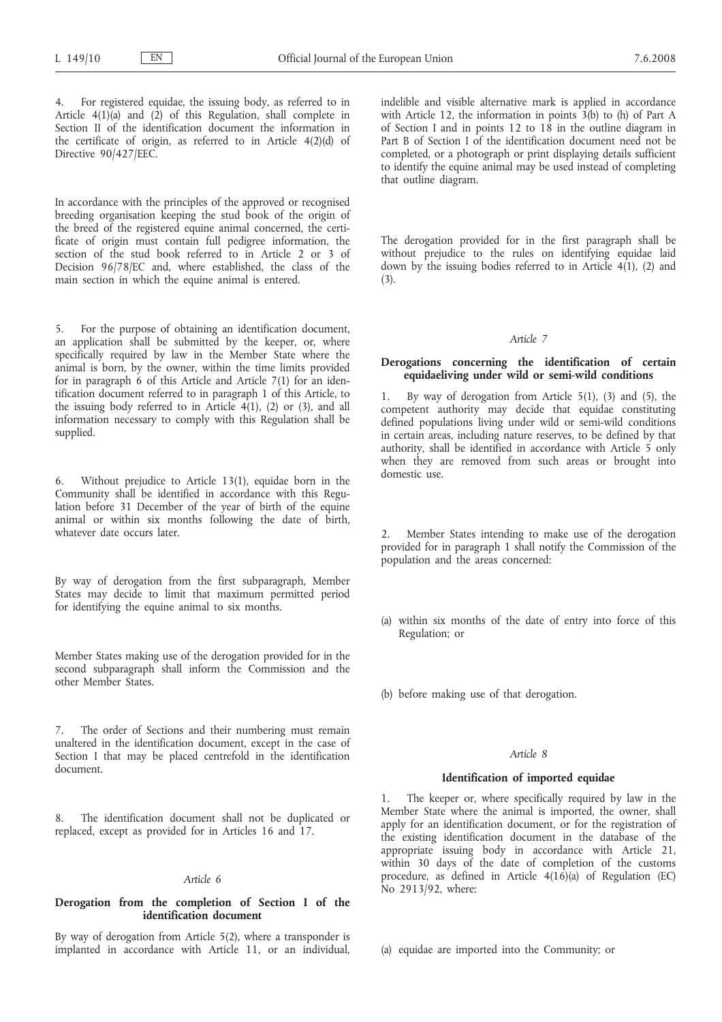4. For registered equidae, the issuing body, as referred to in Article  $4(1)(a)$  and  $(2)$  of this Regulation, shall complete in Section II of the identification document the information in the certificate of origin, as referred to in Article 4(2)(d) of Directive 90/427/EEC.

In accordance with the principles of the approved or recognised breeding organisation keeping the stud book of the origin of the breed of the registered equine animal concerned, the certificate of origin must contain full pedigree information, the section of the stud book referred to in Article 2 or 3 of Decision 96/78/EC and, where established, the class of the main section in which the equine animal is entered.

5. For the purpose of obtaining an identification document, an application shall be submitted by the keeper, or, where specifically required by law in the Member State where the animal is born, by the owner, within the time limits provided for in paragraph 6 of this Article and Article 7(1) for an identification document referred to in paragraph 1 of this Article, to the issuing body referred to in Article  $4(1)$ , (2) or (3), and all information necessary to comply with this Regulation shall be supplied.

6. Without prejudice to Article 13(1), equidae born in the Community shall be identified in accordance with this Regulation before 31 December of the year of birth of the equine animal or within six months following the date of birth, whatever date occurs later.

By way of derogation from the first subparagraph, Member States may decide to limit that maximum permitted period for identifying the equine animal to six months.

Member States making use of the derogation provided for in the second subparagraph shall inform the Commission and the other Member States.

7. The order of Sections and their numbering must remain unaltered in the identification document, except in the case of Section I that may be placed centrefold in the identification document.

8. The identification document shall not be duplicated or replaced, except as provided for in Articles 16 and 17.

### *Article 6*

### **Derogation from the completion of Section I of the identification document**

By way of derogation from Article 5(2), where a transponder is implanted in accordance with Article 11, or an individual, indelible and visible alternative mark is applied in accordance with Article 12, the information in points  $3(b)$  to (h) of Part A of Section I and in points 12 to 18 in the outline diagram in Part B of Section I of the identification document need not be completed, or a photograph or print displaying details sufficient to identify the equine animal may be used instead of completing that outline diagram.

The derogation provided for in the first paragraph shall be without prejudice to the rules on identifying equidae laid down by the issuing bodies referred to in Article  $4(1)$ , (2) and (3).

### *Article 7*

### **Derogations concerning the identification of certain equidaeliving under wild or semi-wild conditions**

1. By way of derogation from Article 5(1), (3) and (5), the competent authority may decide that equidae constituting defined populations living under wild or semi-wild conditions in certain areas, including nature reserves, to be defined by that authority, shall be identified in accordance with Article 5 only when they are removed from such areas or brought into domestic use.

Member States intending to make use of the derogation provided for in paragraph 1 shall notify the Commission of the population and the areas concerned:

- (a) within six months of the date of entry into force of this Regulation; or
- (b) before making use of that derogation.

### *Article 8*

### **Identification of imported equidae**

1. The keeper or, where specifically required by law in the Member State where the animal is imported, the owner, shall apply for an identification document, or for the registration of the existing identification document in the database of the appropriate issuing body in accordance with Article 21, within 30 days of the date of completion of the customs procedure, as defined in Article  $4(16)(a)$  of Regulation (EC) No 2913/92, where:

(a) equidae are imported into the Community; or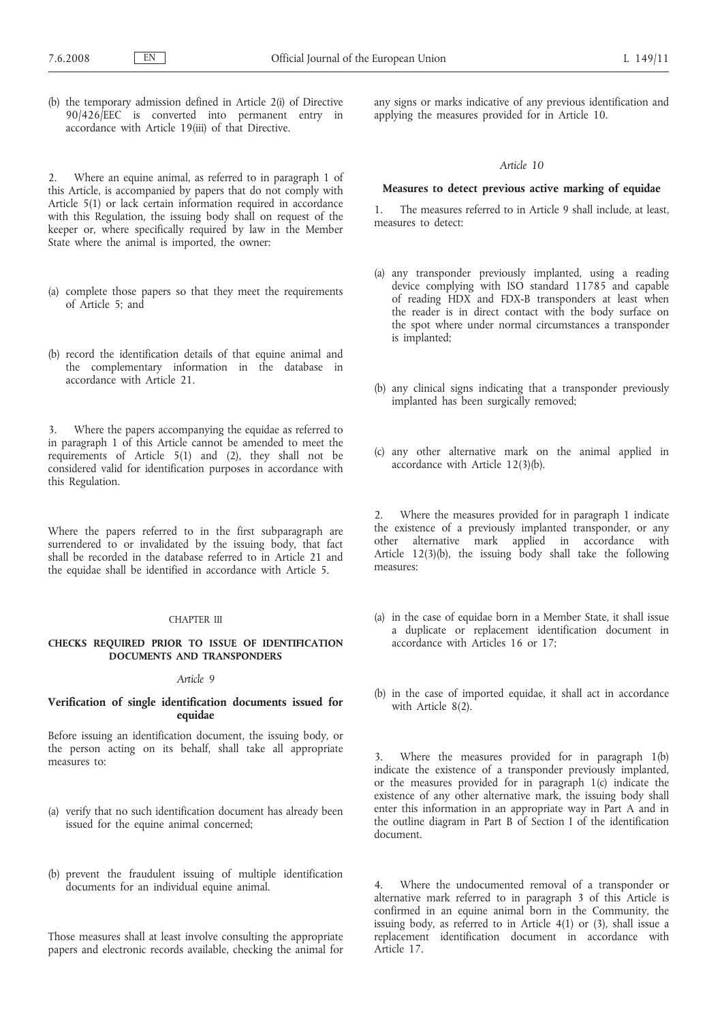(b) the temporary admission defined in Article 2(i) of Directive 90/426/EEC is converted into permanent entry in accordance with Article 19(iii) of that Directive.

2. Where an equine animal, as referred to in paragraph 1 of this Article, is accompanied by papers that do not comply with Article 5(1) or lack certain information required in accordance with this Regulation, the issuing body shall on request of the keeper or, where specifically required by law in the Member State where the animal is imported, the owner:

- (a) complete those papers so that they meet the requirements of Article 5; and
- (b) record the identification details of that equine animal and the complementary information in the database in accordance with Article 21.

3. Where the papers accompanying the equidae as referred to in paragraph 1 of this Article cannot be amended to meet the requirements of Article 5(1) and (2), they shall not be considered valid for identification purposes in accordance with this Regulation.

Where the papers referred to in the first subparagraph are surrendered to or invalidated by the issuing body, that fact shall be recorded in the database referred to in Article 21 and the equidae shall be identified in accordance with Article 5.

### CHAPTER III

### **CHECKS REQUIRED PRIOR TO ISSUE OF IDENTIFICATION DOCUMENTS AND TRANSPONDERS**

### *Article 9*

### **Verification of single identification documents issued for equidae**

Before issuing an identification document, the issuing body, or the person acting on its behalf, shall take all appropriate measures to:

- (a) verify that no such identification document has already been issued for the equine animal concerned;
- (b) prevent the fraudulent issuing of multiple identification documents for an individual equine animal.

Those measures shall at least involve consulting the appropriate papers and electronic records available, checking the animal for any signs or marks indicative of any previous identification and applying the measures provided for in Article 10.

### *Article 10*

### **Measures to detect previous active marking of equidae**

1. The measures referred to in Article 9 shall include, at least, measures to detect:

- (a) any transponder previously implanted, using a reading device complying with ISO standard 11785 and capable of reading HDX and FDX-B transponders at least when the reader is in direct contact with the body surface on the spot where under normal circumstances a transponder is implanted;
- (b) any clinical signs indicating that a transponder previously implanted has been surgically removed;
- (c) any other alternative mark on the animal applied in accordance with Article 12(3)(b).

2. Where the measures provided for in paragraph 1 indicate the existence of a previously implanted transponder, or any other alternative mark applied in accordance with Article  $12(3)(b)$ , the issuing body shall take the following measures:

- (a) in the case of equidae born in a Member State, it shall issue a duplicate or replacement identification document in accordance with Articles 16 or 17;
- (b) in the case of imported equidae, it shall act in accordance with Article 8(2).

3. Where the measures provided for in paragraph 1(b) indicate the existence of a transponder previously implanted, or the measures provided for in paragraph 1(c) indicate the existence of any other alternative mark, the issuing body shall enter this information in an appropriate way in Part A and in the outline diagram in Part B of Section I of the identification document.

Where the undocumented removal of a transponder or alternative mark referred to in paragraph 3 of this Article is confirmed in an equine animal born in the Community, the issuing body, as referred to in Article 4(1) or (3), shall issue a replacement identification document in accordance with Article 17.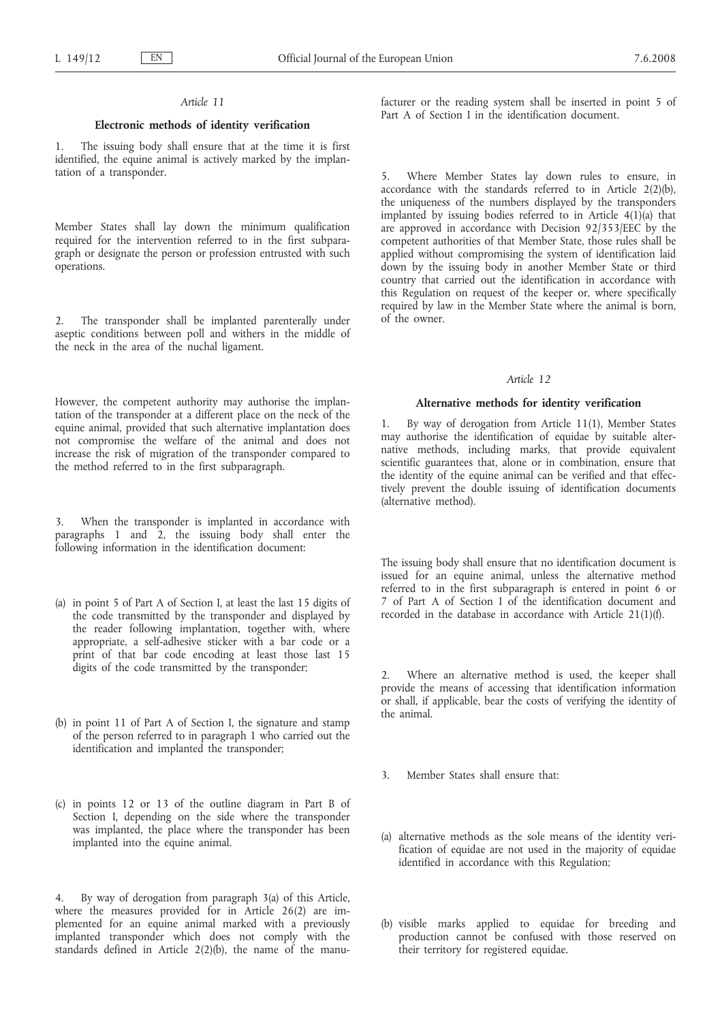### *Article 11*

### **Electronic methods of identity verification**

1. The issuing body shall ensure that at the time it is first identified, the equine animal is actively marked by the implantation of a transponder.

Member States shall lay down the minimum qualification required for the intervention referred to in the first subparagraph or designate the person or profession entrusted with such operations.

2. The transponder shall be implanted parenterally under aseptic conditions between poll and withers in the middle of the neck in the area of the nuchal ligament.

However, the competent authority may authorise the implantation of the transponder at a different place on the neck of the equine animal, provided that such alternative implantation does not compromise the welfare of the animal and does not increase the risk of migration of the transponder compared to the method referred to in the first subparagraph.

3. When the transponder is implanted in accordance with paragraphs 1 and 2, the issuing body shall enter the following information in the identification document:

- (a) in point 5 of Part A of Section I, at least the last 15 digits of the code transmitted by the transponder and displayed by the reader following implantation, together with, where appropriate, a self-adhesive sticker with a bar code or a print of that bar code encoding at least those last 15 digits of the code transmitted by the transponder;
- (b) in point 11 of Part A of Section I, the signature and stamp of the person referred to in paragraph 1 who carried out the identification and implanted the transponder;
- (c) in points 12 or 13 of the outline diagram in Part B of Section I, depending on the side where the transponder was implanted, the place where the transponder has been implanted into the equine animal.

By way of derogation from paragraph 3(a) of this Article, where the measures provided for in Article 26(2) are implemented for an equine animal marked with a previously implanted transponder which does not comply with the standards defined in Article 2(2)(b), the name of the manufacturer or the reading system shall be inserted in point 5 of Part A of Section I in the identification document.

5. Where Member States lay down rules to ensure, in accordance with the standards referred to in Article  $2(2)(b)$ , the uniqueness of the numbers displayed by the transponders implanted by issuing bodies referred to in Article  $4(1)(a)$  that are approved in accordance with Decision 92/353/EEC by the competent authorities of that Member State, those rules shall be applied without compromising the system of identification laid down by the issuing body in another Member State or third country that carried out the identification in accordance with this Regulation on request of the keeper or, where specifically required by law in the Member State where the animal is born, of the owner.

### *Article 12*

### **Alternative methods for identity verification**

1. By way of derogation from Article 11(1), Member States may authorise the identification of equidae by suitable alternative methods, including marks, that provide equivalent scientific guarantees that, alone or in combination, ensure that the identity of the equine animal can be verified and that effectively prevent the double issuing of identification documents (alternative method).

The issuing body shall ensure that no identification document is issued for an equine animal, unless the alternative method referred to in the first subparagraph is entered in point 6 or 7 of Part A of Section I of the identification document and recorded in the database in accordance with Article 21(1)(f).

2. Where an alternative method is used, the keeper shall provide the means of accessing that identification information or shall, if applicable, bear the costs of verifying the identity of the animal.

- 3. Member States shall ensure that:
- (a) alternative methods as the sole means of the identity verification of equidae are not used in the majority of equidae identified in accordance with this Regulation;
- (b) visible marks applied to equidae for breeding and production cannot be confused with those reserved on their territory for registered equidae.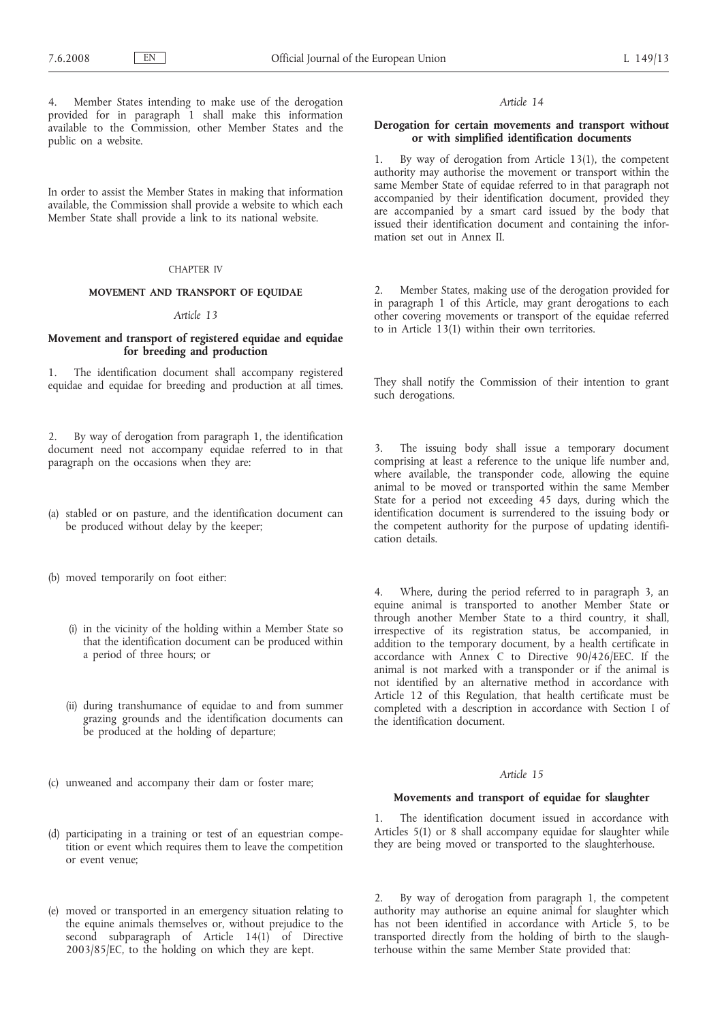4. Member States intending to make use of the derogation provided for in paragraph 1 shall make this information available to the Commission, other Member States and the public on a website.

In order to assist the Member States in making that information available, the Commission shall provide a website to which each Member State shall provide a link to its national website.

### CHAPTER IV

### **MOVEMENT AND TRANSPORT OF EQUIDAE**

### *Article 13*

### **Movement and transport of registered equidae and equidae for breeding and production**

1. The identification document shall accompany registered equidae and equidae for breeding and production at all times.

2. By way of derogation from paragraph 1, the identification document need not accompany equidae referred to in that paragraph on the occasions when they are:

- (a) stabled or on pasture, and the identification document can be produced without delay by the keeper;
- (b) moved temporarily on foot either:
	- (i) in the vicinity of the holding within a Member State so that the identification document can be produced within a period of three hours; or
	- (ii) during transhumance of equidae to and from summer grazing grounds and the identification documents can be produced at the holding of departure;
- (c) unweaned and accompany their dam or foster mare;
- (d) participating in a training or test of an equestrian competition or event which requires them to leave the competition or event venue;
- (e) moved or transported in an emergency situation relating to the equine animals themselves or, without prejudice to the second subparagraph of Article 14(1) of Directive 2003/85/EC, to the holding on which they are kept.

### *Article 14*

### **Derogation for certain movements and transport without or with simplified identification documents**

1. By way of derogation from Article 13(1), the competent authority may authorise the movement or transport within the same Member State of equidae referred to in that paragraph not accompanied by their identification document, provided they are accompanied by a smart card issued by the body that issued their identification document and containing the information set out in Annex II.

2. Member States, making use of the derogation provided for in paragraph 1 of this Article, may grant derogations to each other covering movements or transport of the equidae referred to in Article 13(1) within their own territories.

They shall notify the Commission of their intention to grant such derogations.

3. The issuing body shall issue a temporary document comprising at least a reference to the unique life number and, where available, the transponder code, allowing the equine animal to be moved or transported within the same Member State for a period not exceeding 45 days, during which the identification document is surrendered to the issuing body or the competent authority for the purpose of updating identification details.

Where, during the period referred to in paragraph 3, an equine animal is transported to another Member State or through another Member State to a third country, it shall, irrespective of its registration status, be accompanied, in addition to the temporary document, by a health certificate in accordance with Annex C to Directive 90/426/EEC. If the animal is not marked with a transponder or if the animal is not identified by an alternative method in accordance with Article 12 of this Regulation, that health certificate must be completed with a description in accordance with Section I of the identification document.

### *Article 15*

### **Movements and transport of equidae for slaughter**

1. The identification document issued in accordance with Articles 5(1) or 8 shall accompany equidae for slaughter while they are being moved or transported to the slaughterhouse.

By way of derogation from paragraph 1, the competent authority may authorise an equine animal for slaughter which has not been identified in accordance with Article 5, to be transported directly from the holding of birth to the slaughterhouse within the same Member State provided that: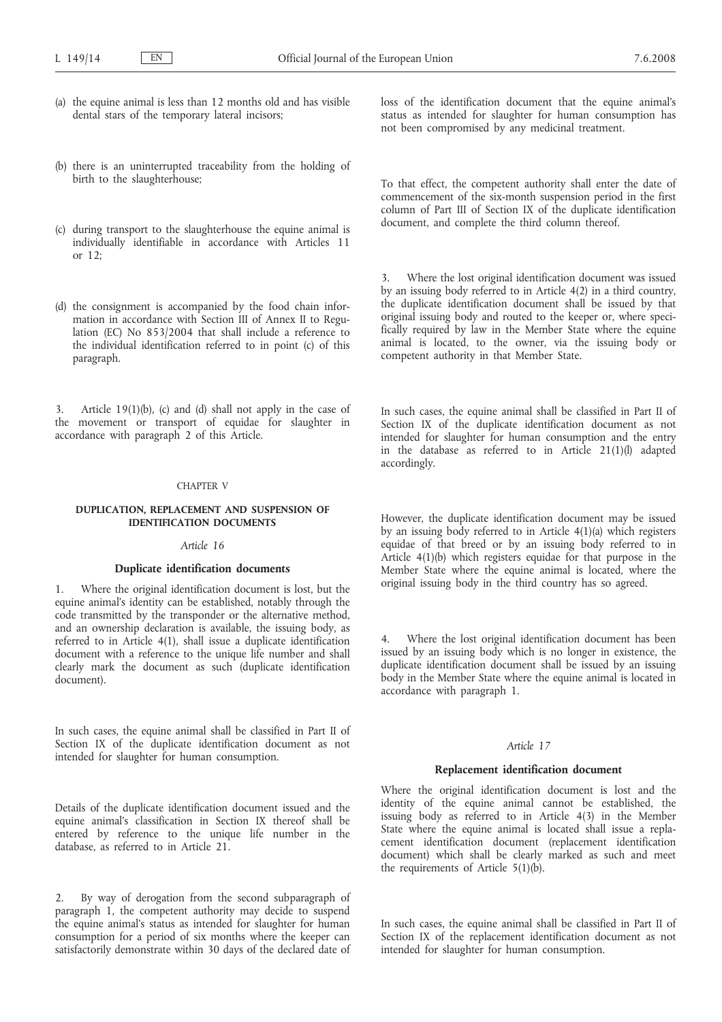- (a) the equine animal is less than 12 months old and has visible dental stars of the temporary lateral incisors;
- (b) there is an uninterrupted traceability from the holding of birth to the slaughterhouse;
- (c) during transport to the slaughterhouse the equine animal is individually identifiable in accordance with Articles 11 or 12;
- (d) the consignment is accompanied by the food chain information in accordance with Section III of Annex II to Regulation (EC) No 853/2004 that shall include a reference to the individual identification referred to in point (c) of this paragraph.

3. Article 19(1)(b), (c) and (d) shall not apply in the case of the movement or transport of equidae for slaughter in accordance with paragraph 2 of this Article.

### CHAPTER V

### **DUPLICATION, REPLACEMENT AND SUSPENSION OF IDENTIFICATION DOCUMENTS**

### *Article 16*

### **Duplicate identification documents**

Where the original identification document is lost, but the equine animal's identity can be established, notably through the code transmitted by the transponder or the alternative method, and an ownership declaration is available, the issuing body, as referred to in Article 4(1), shall issue a duplicate identification document with a reference to the unique life number and shall clearly mark the document as such (duplicate identification document).

In such cases, the equine animal shall be classified in Part II of Section IX of the duplicate identification document as not intended for slaughter for human consumption.

Details of the duplicate identification document issued and the equine animal's classification in Section IX thereof shall be entered by reference to the unique life number in the database, as referred to in Article 21.

2. By way of derogation from the second subparagraph of paragraph 1, the competent authority may decide to suspend the equine animal's status as intended for slaughter for human consumption for a period of six months where the keeper can satisfactorily demonstrate within 30 days of the declared date of loss of the identification document that the equine animal's status as intended for slaughter for human consumption has not been compromised by any medicinal treatment.

To that effect, the competent authority shall enter the date of commencement of the six-month suspension period in the first column of Part III of Section IX of the duplicate identification document, and complete the third column thereof.

Where the lost original identification document was issued by an issuing body referred to in Article 4(2) in a third country, the duplicate identification document shall be issued by that original issuing body and routed to the keeper or, where specifically required by law in the Member State where the equine animal is located, to the owner, via the issuing body or competent authority in that Member State.

In such cases, the equine animal shall be classified in Part II of Section IX of the duplicate identification document as not intended for slaughter for human consumption and the entry in the database as referred to in Article  $21(1)(l)$  adapted accordingly.

However, the duplicate identification document may be issued by an issuing body referred to in Article 4(1)(a) which registers equidae of that breed or by an issuing body referred to in Article 4(1)(b) which registers equidae for that purpose in the Member State where the equine animal is located, where the original issuing body in the third country has so agreed.

Where the lost original identification document has been issued by an issuing body which is no longer in existence, the duplicate identification document shall be issued by an issuing body in the Member State where the equine animal is located in accordance with paragraph 1.

### *Article 17*

### **Replacement identification document**

Where the original identification document is lost and the identity of the equine animal cannot be established, the issuing body as referred to in Article 4(3) in the Member State where the equine animal is located shall issue a replacement identification document (replacement identification document) which shall be clearly marked as such and meet the requirements of Article 5(1)(b).

In such cases, the equine animal shall be classified in Part II of Section IX of the replacement identification document as not intended for slaughter for human consumption.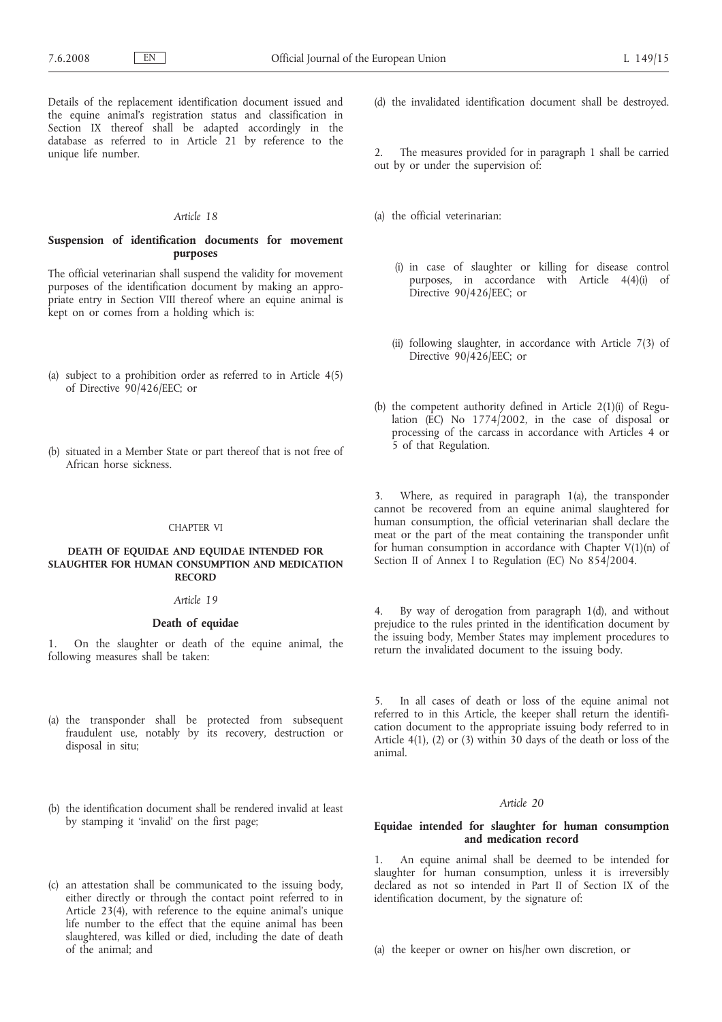Details of the replacement identification document issued and the equine animal's registration status and classification in Section IX thereof shall be adapted accordingly in the database as referred to in Article 21 by reference to the unique life number.

### *Article 18*

### **Suspension of identification documents for movement purposes**

The official veterinarian shall suspend the validity for movement purposes of the identification document by making an appropriate entry in Section VIII thereof where an equine animal is kept on or comes from a holding which is:

- (a) subject to a prohibition order as referred to in Article 4(5) of Directive 90/426/EEC; or
- (b) situated in a Member State or part thereof that is not free of African horse sickness.

### CHAPTER VI

### **DEATH OF EQUIDAE AND EQUIDAE INTENDED FOR SLAUGHTER FOR HUMAN CONSUMPTION AND MEDICATION RECORD**

### *Article 19*

### **Death of equidae**

1. On the slaughter or death of the equine animal, the following measures shall be taken:

- (a) the transponder shall be protected from subsequent fraudulent use, notably by its recovery, destruction or disposal in situ;
- (b) the identification document shall be rendered invalid at least by stamping it 'invalid' on the first page;
- (c) an attestation shall be communicated to the issuing body, either directly or through the contact point referred to in Article 23(4), with reference to the equine animal's unique life number to the effect that the equine animal has been slaughtered, was killed or died, including the date of death of the animal; and
- (d) the invalidated identification document shall be destroyed.
- The measures provided for in paragraph 1 shall be carried out by or under the supervision of:
- (a) the official veterinarian:
	- (i) in case of slaughter or killing for disease control purposes, in accordance with Article 4(4)(i) of Directive 90/426/EEC; or
	- (ii) following slaughter, in accordance with Article 7(3) of Directive 90/426/EEC; or
- (b) the competent authority defined in Article 2(1)(i) of Regulation  $(\overrightarrow{EC})$  No 1774/2002, in the case of disposal or processing of the carcass in accordance with Articles 4 or 5 of that Regulation.

3. Where, as required in paragraph 1(a), the transponder cannot be recovered from an equine animal slaughtered for human consumption, the official veterinarian shall declare the meat or the part of the meat containing the transponder unfit for human consumption in accordance with Chapter V(1)(n) of Section II of Annex I to Regulation (EC) No 854/2004.

4. By way of derogation from paragraph 1(d), and without prejudice to the rules printed in the identification document by the issuing body, Member States may implement procedures to return the invalidated document to the issuing body.

5. In all cases of death or loss of the equine animal not referred to in this Article, the keeper shall return the identification document to the appropriate issuing body referred to in Article 4(1), (2) or (3) within 30 days of the death or loss of the animal.

### *Article 20*

### **Equidae intended for slaughter for human consumption and medication record**

1. An equine animal shall be deemed to be intended for slaughter for human consumption, unless it is irreversibly declared as not so intended in Part II of Section IX of the identification document, by the signature of:

(a) the keeper or owner on his/her own discretion, or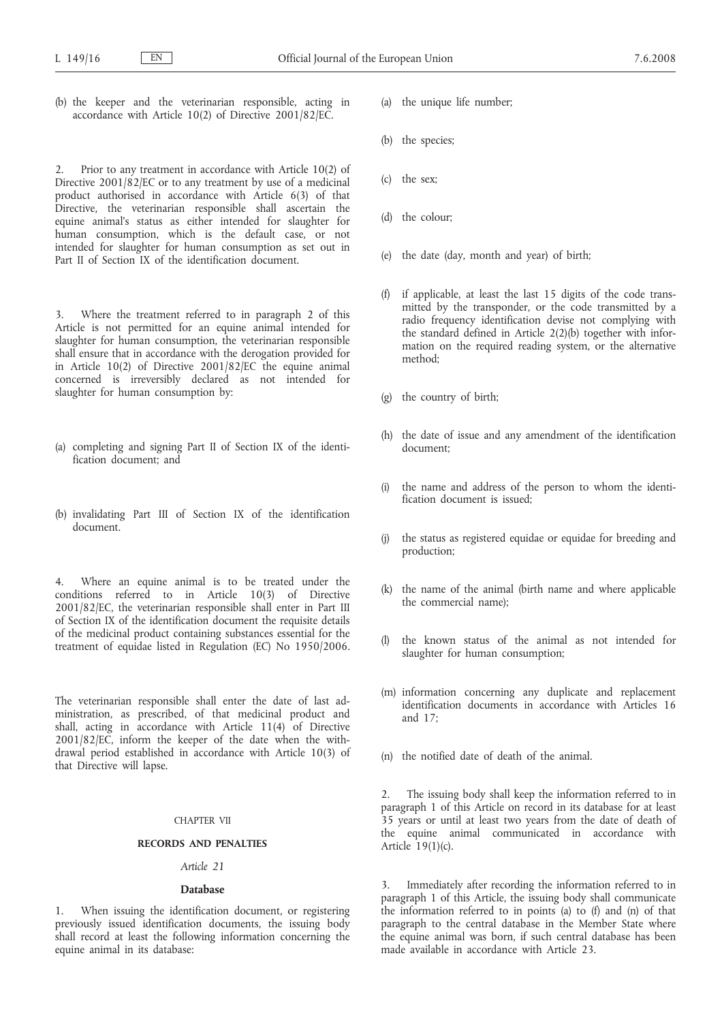(b) the keeper and the veterinarian responsible, acting in accordance with Article 10(2) of Directive 2001/82/EC.

Prior to any treatment in accordance with Article 10(2) of Directive 2001/82/EC or to any treatment by use of a medicinal product authorised in accordance with Article 6(3) of that Directive, the veterinarian responsible shall ascertain the equine animal's status as either intended for slaughter for human consumption, which is the default case, or not intended for slaughter for human consumption as set out in Part II of Section IX of the identification document.

3. Where the treatment referred to in paragraph 2 of this Article is not permitted for an equine animal intended for slaughter for human consumption, the veterinarian responsible shall ensure that in accordance with the derogation provided for in Article 10(2) of Directive 2001/82/EC the equine animal concerned is irreversibly declared as not intended for slaughter for human consumption by:

- (a) completing and signing Part II of Section IX of the identification document; and
- (b) invalidating Part III of Section IX of the identification document.

4. Where an equine animal is to be treated under the conditions referred to in Article 10(3) of Directive 2001/82/EC, the veterinarian responsible shall enter in Part III of Section IX of the identification document the requisite details of the medicinal product containing substances essential for the treatment of equidae listed in Regulation (EC) No 1950/2006.

The veterinarian responsible shall enter the date of last administration, as prescribed, of that medicinal product and shall, acting in accordance with Article  $11(4)$  of Directive 2001/82/EC, inform the keeper of the date when the withdrawal period established in accordance with Article 10(3) of that Directive will lapse.

### CHAPTER VII

### **RECORDS AND PENALTIES**

### *Article 21*

### **Database**

1. When issuing the identification document, or registering previously issued identification documents, the issuing body shall record at least the following information concerning the equine animal in its database:

- (a) the unique life number;
- (b) the species;
- (c) the sex;
- (d) the colour;
- (e) the date (day, month and year) of birth;
- (f) if applicable, at least the last 15 digits of the code transmitted by the transponder, or the code transmitted by a radio frequency identification devise not complying with the standard defined in Article 2(2)(b) together with information on the required reading system, or the alternative method;
- (g) the country of birth;
- (h) the date of issue and any amendment of the identification document;
- the name and address of the person to whom the identification document is issued;
- (j) the status as registered equidae or equidae for breeding and production;
- (k) the name of the animal (birth name and where applicable the commercial name);
- (l) the known status of the animal as not intended for slaughter for human consumption;
- (m) information concerning any duplicate and replacement identification documents in accordance with Articles 16 and 17;
- (n) the notified date of death of the animal.

2. The issuing body shall keep the information referred to in paragraph 1 of this Article on record in its database for at least 35 years or until at least two years from the date of death of the equine animal communicated in accordance with Article  $19(1)(c)$ .

Immediately after recording the information referred to in paragraph 1 of this Article, the issuing body shall communicate the information referred to in points (a) to (f) and (n) of that paragraph to the central database in the Member State where the equine animal was born, if such central database has been made available in accordance with Article 23.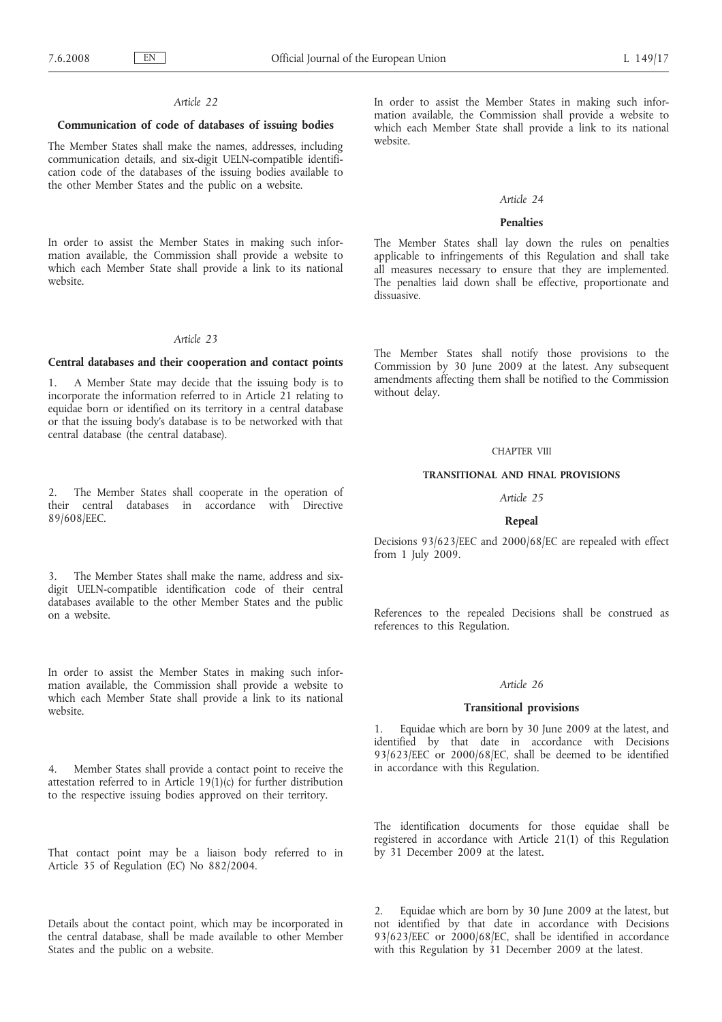### *Article 22*

### **Communication of code of databases of issuing bodies**

The Member States shall make the names, addresses, including communication details, and six-digit UELN-compatible identification code of the databases of the issuing bodies available to the other Member States and the public on a website.

In order to assist the Member States in making such information available, the Commission shall provide a website to which each Member State shall provide a link to its national website.

### *Article 23*

### **Central databases and their cooperation and contact points**

1. A Member State may decide that the issuing body is to incorporate the information referred to in Article 21 relating to equidae born or identified on its territory in a central database or that the issuing body's database is to be networked with that central database (the central database).

2. The Member States shall cooperate in the operation of their central databases in accordance with Directive 89/608/EEC.

3. The Member States shall make the name, address and sixdigit UELN-compatible identification code of their central databases available to the other Member States and the public on a website.

In order to assist the Member States in making such information available, the Commission shall provide a website to which each Member State shall provide a link to its national website.

4. Member States shall provide a contact point to receive the attestation referred to in Article 19(1)(c) for further distribution to the respective issuing bodies approved on their territory.

That contact point may be a liaison body referred to in Article 35 of Regulation (EC) No 882/2004.

Details about the contact point, which may be incorporated in the central database, shall be made available to other Member States and the public on a website.

In order to assist the Member States in making such information available, the Commission shall provide a website to which each Member State shall provide a link to its national website.

### *Article 24*

### **Penalties**

The Member States shall lay down the rules on penalties applicable to infringements of this Regulation and shall take all measures necessary to ensure that they are implemented. The penalties laid down shall be effective, proportionate and dissuasive.

The Member States shall notify those provisions to the Commission by 30 June 2009 at the latest. Any subsequent amendments affecting them shall be notified to the Commission without delay.

### CHAPTER VIII

### **TRANSITIONAL AND FINAL PROVISIONS**

*Article 25*

### **Repeal**

Decisions 93/623/EEC and 2000/68/EC are repealed with effect from 1 July 2009.

References to the repealed Decisions shall be construed as references to this Regulation.

### *Article 26*

### **Transitional provisions**

1. Equidae which are born by 30 June 2009 at the latest, and identified by that date in accordance with Decisions 93/623/EEC or 2000/68/EC, shall be deemed to be identified in accordance with this Regulation.

The identification documents for those equidae shall be registered in accordance with Article 21(1) of this Regulation by 31 December 2009 at the latest.

2. Equidae which are born by 30 June 2009 at the latest, but not identified by that date in accordance with Decisions 93/623/EEC or 2000/68/EC, shall be identified in accordance with this Regulation by 31 December 2009 at the latest.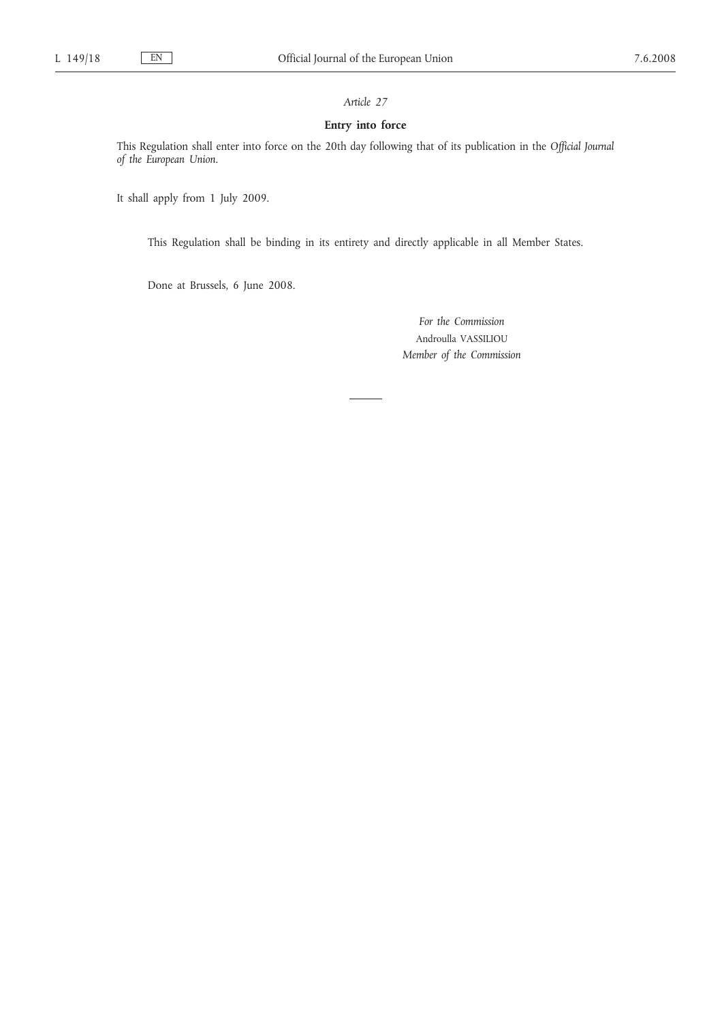### *Article 27*

### **Entry into force**

This Regulation shall enter into force on the 20th day following that of its publication in the *Official Journal of the European Union*.

It shall apply from 1 July 2009.

This Regulation shall be binding in its entirety and directly applicable in all Member States.

Done at Brussels, 6 June 2008.

*For the Commission* Androulla VASSILIOU *Member of the Commission*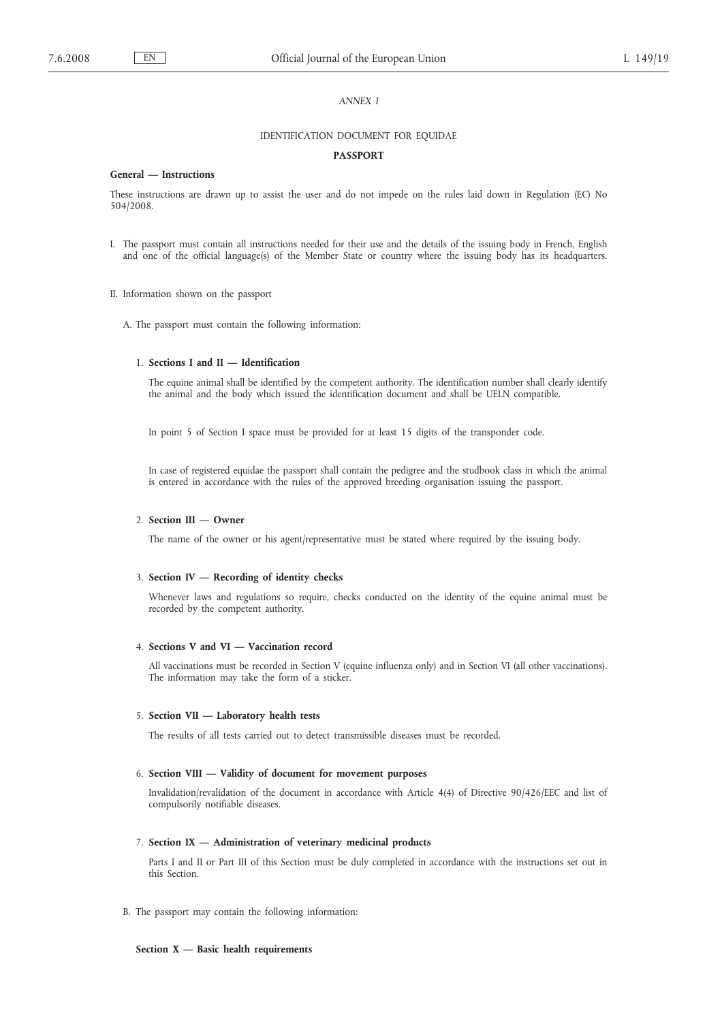### *ANNEX I*

### IDENTIFICATION DOCUMENT FOR EQUIDAE

### **PASSPORT**

### **General — Instructions**

These instructions are drawn up to assist the user and do not impede on the rules laid down in Regulation (EC) No 504/2008.

- I. The passport must contain all instructions needed for their use and the details of the issuing body in French, English and one of the official language(s) of the Member State or country where the issuing body has its headquarters.
- II. Information shown on the passport
	- A. The passport must contain the following information:

### 1. **Sections I and II — Identification**

The equine animal shall be identified by the competent authority. The identification number shall clearly identify the animal and the body which issued the identification document and shall be UELN compatible.

In point 5 of Section I space must be provided for at least 15 digits of the transponder code.

In case of registered equidae the passport shall contain the pedigree and the studbook class in which the animal is entered in accordance with the rules of the approved breeding organisation issuing the passport.

### 2. **Section III — Owner**

The name of the owner or his agent/representative must be stated where required by the issuing body.

### 3. **Section IV — Recording of identity checks**

Whenever laws and regulations so require, checks conducted on the identity of the equine animal must be recorded by the competent authority.

### 4. **Sections V and VI — Vaccination record**

All vaccinations must be recorded in Section V (equine influenza only) and in Section VI (all other vaccinations). The information may take the form of a sticker.

### 5. **Section VII — Laboratory health tests**

The results of all tests carried out to detect transmissible diseases must be recorded.

### 6. **Section VIII — Validity of document for movement purposes**

Invalidation/revalidation of the document in accordance with Article 4(4) of Directive 90/426/EEC and list of compulsorily notifiable diseases.

### 7. **Section IX — Administration of veterinary medicinal products**

Parts I and II or Part III of this Section must be duly completed in accordance with the instructions set out in this Section.

B. The passport may contain the following information:

### **Section X — Basic health requirements**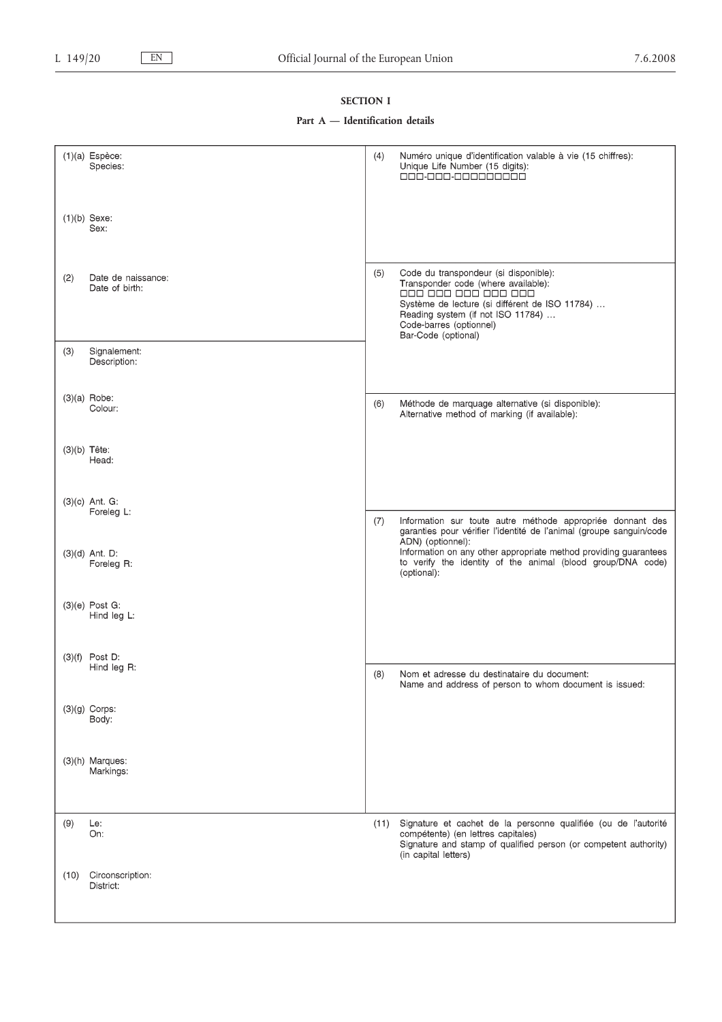### **SECTION I**

### **Part A — Identification details**

| $(1)(a)$ Espèce:<br>(4)<br>Numéro unique d'identification valable à vie (15 chiffres):<br>Species:<br>Unique Life Number (15 digits):<br>000.000.000000000<br>$(1)(b)$ Sexe:<br>Sex:<br>(5)<br>Code du transpondeur (si disponible):<br>(2)<br>Date de naissance:<br>Transponder code (where available):<br>Date of birth:<br>000 000 000 000 000<br>Système de lecture (si différent de ISO 11784)<br>Reading system (if not ISO 11784)<br>Code-barres (optionnel)<br>Bar-Code (optional)<br>Signalement:<br>(3)<br>Description:<br>$(3)(a)$ Robe:<br>Méthode de marquage alternative (si disponible):<br>(6)<br>Colour:<br>Alternative method of marking (if available):<br>$(3)(b)$ Tête:<br>Head:<br>$(3)(c)$ Ant. G:<br>Foreleg L:<br>Information sur toute autre méthode appropriée donnant des<br>(7)<br>garanties pour vérifier l'identité de l'animal (groupe sanguin/code<br>ADN) (optionnel):<br>Information on any other appropriate method providing guarantees<br>$(3)(d)$ Ant. D:<br>to verify the identity of the animal (blood group/DNA code)<br>Foreleg R:<br>(optional):<br>$(3)(e)$ Post G:<br>Hind leg L:<br>$(3)(f)$ Post D:<br>Hind leg R:<br>Nom et adresse du destinataire du document:<br>(8)<br>Name and address of person to whom document is issued:<br>$(3)(g)$ Corps:<br>Body:<br>(3)(h) Marques:<br>Markings:<br>(9)<br>Signature et cachet de la personne qualifiée (ou de l'autorité<br>Le:<br>(11)<br>compétente) (en lettres capitales)<br>On:<br>Signature and stamp of qualified person (or competent authority)<br>(in capital letters)<br>Circonscription:<br>(10)<br>District: |  |  |
|--------------------------------------------------------------------------------------------------------------------------------------------------------------------------------------------------------------------------------------------------------------------------------------------------------------------------------------------------------------------------------------------------------------------------------------------------------------------------------------------------------------------------------------------------------------------------------------------------------------------------------------------------------------------------------------------------------------------------------------------------------------------------------------------------------------------------------------------------------------------------------------------------------------------------------------------------------------------------------------------------------------------------------------------------------------------------------------------------------------------------------------------------------------------------------------------------------------------------------------------------------------------------------------------------------------------------------------------------------------------------------------------------------------------------------------------------------------------------------------------------------------------------------------------------------------------------------------------------------------------------|--|--|
|                                                                                                                                                                                                                                                                                                                                                                                                                                                                                                                                                                                                                                                                                                                                                                                                                                                                                                                                                                                                                                                                                                                                                                                                                                                                                                                                                                                                                                                                                                                                                                                                                          |  |  |
|                                                                                                                                                                                                                                                                                                                                                                                                                                                                                                                                                                                                                                                                                                                                                                                                                                                                                                                                                                                                                                                                                                                                                                                                                                                                                                                                                                                                                                                                                                                                                                                                                          |  |  |
|                                                                                                                                                                                                                                                                                                                                                                                                                                                                                                                                                                                                                                                                                                                                                                                                                                                                                                                                                                                                                                                                                                                                                                                                                                                                                                                                                                                                                                                                                                                                                                                                                          |  |  |
|                                                                                                                                                                                                                                                                                                                                                                                                                                                                                                                                                                                                                                                                                                                                                                                                                                                                                                                                                                                                                                                                                                                                                                                                                                                                                                                                                                                                                                                                                                                                                                                                                          |  |  |
|                                                                                                                                                                                                                                                                                                                                                                                                                                                                                                                                                                                                                                                                                                                                                                                                                                                                                                                                                                                                                                                                                                                                                                                                                                                                                                                                                                                                                                                                                                                                                                                                                          |  |  |
|                                                                                                                                                                                                                                                                                                                                                                                                                                                                                                                                                                                                                                                                                                                                                                                                                                                                                                                                                                                                                                                                                                                                                                                                                                                                                                                                                                                                                                                                                                                                                                                                                          |  |  |
|                                                                                                                                                                                                                                                                                                                                                                                                                                                                                                                                                                                                                                                                                                                                                                                                                                                                                                                                                                                                                                                                                                                                                                                                                                                                                                                                                                                                                                                                                                                                                                                                                          |  |  |
|                                                                                                                                                                                                                                                                                                                                                                                                                                                                                                                                                                                                                                                                                                                                                                                                                                                                                                                                                                                                                                                                                                                                                                                                                                                                                                                                                                                                                                                                                                                                                                                                                          |  |  |
|                                                                                                                                                                                                                                                                                                                                                                                                                                                                                                                                                                                                                                                                                                                                                                                                                                                                                                                                                                                                                                                                                                                                                                                                                                                                                                                                                                                                                                                                                                                                                                                                                          |  |  |
|                                                                                                                                                                                                                                                                                                                                                                                                                                                                                                                                                                                                                                                                                                                                                                                                                                                                                                                                                                                                                                                                                                                                                                                                                                                                                                                                                                                                                                                                                                                                                                                                                          |  |  |
|                                                                                                                                                                                                                                                                                                                                                                                                                                                                                                                                                                                                                                                                                                                                                                                                                                                                                                                                                                                                                                                                                                                                                                                                                                                                                                                                                                                                                                                                                                                                                                                                                          |  |  |
|                                                                                                                                                                                                                                                                                                                                                                                                                                                                                                                                                                                                                                                                                                                                                                                                                                                                                                                                                                                                                                                                                                                                                                                                                                                                                                                                                                                                                                                                                                                                                                                                                          |  |  |
|                                                                                                                                                                                                                                                                                                                                                                                                                                                                                                                                                                                                                                                                                                                                                                                                                                                                                                                                                                                                                                                                                                                                                                                                                                                                                                                                                                                                                                                                                                                                                                                                                          |  |  |
|                                                                                                                                                                                                                                                                                                                                                                                                                                                                                                                                                                                                                                                                                                                                                                                                                                                                                                                                                                                                                                                                                                                                                                                                                                                                                                                                                                                                                                                                                                                                                                                                                          |  |  |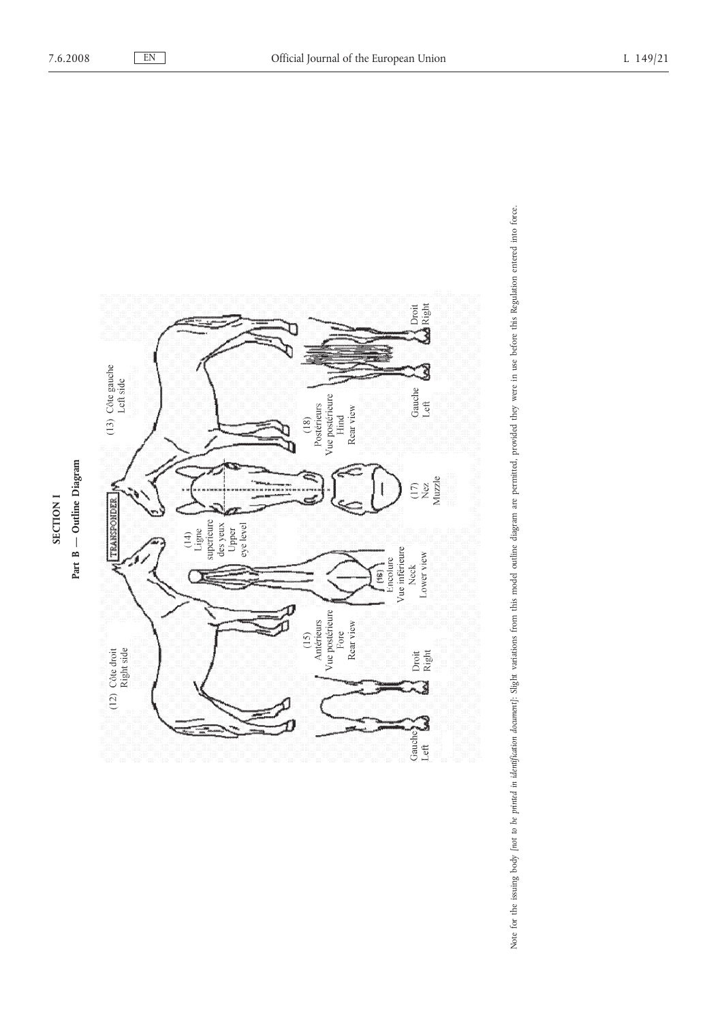

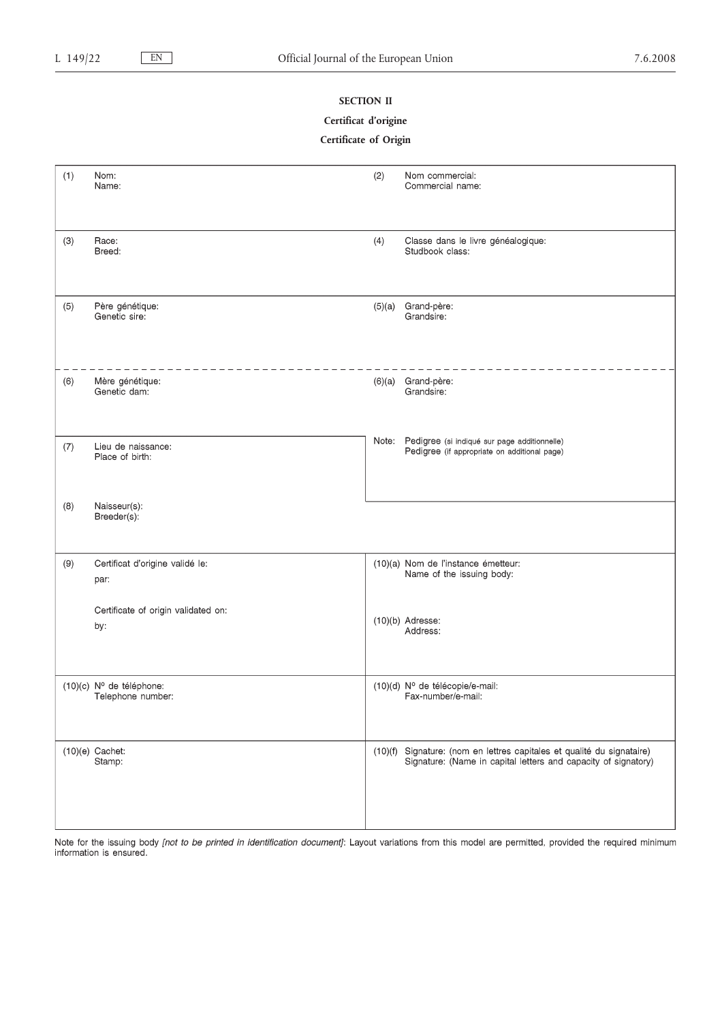### **SECTION II**

### **Certificat d'origine**

### **Certificate of Origin**

| (1) | Nom:<br>Name:                                 | (2)    | Nom commercial:<br>Commercial name:                                                                                                      |
|-----|-----------------------------------------------|--------|------------------------------------------------------------------------------------------------------------------------------------------|
| (3) | Race:<br>Breed:                               | (4)    | Classe dans le livre généalogique:<br>Studbook class:                                                                                    |
| (5) | Père génétique:<br>Genetic sire:              | (5)(a) | Grand-père:<br>Grandsire:                                                                                                                |
| (6) | Mère génétique:<br>Genetic dam:               |        | (6)(a) Grand-père:<br>Grandsire:                                                                                                         |
| (7) | Lieu de naissance:<br>Place of birth:         |        | Note: Pedigree (si indiqué sur page additionnelle)<br>Pedigree (if appropriate on additional page)                                       |
| (8) | Naisseur(s):<br>Breeder(s):                   |        |                                                                                                                                          |
| (9) | Certificat d'origine validé le:<br>par:       |        | (10)(a) Nom de l'instance émetteur:<br>Name of the issuing body:                                                                         |
|     | Certificate of origin validated on:<br>by:    |        | $(10)(b)$ Adresse:<br>Address:                                                                                                           |
|     | (10)(c) Nº de téléphone:<br>Telephone number: |        | (10)(d) Nº de télécopie/e-mail:<br>Fax-number/e-mail:                                                                                    |
|     | $(10)(e)$ Cachet:<br>Stamp:                   |        | (10)(f) Signature: (nom en lettres capitales et qualité du signataire)<br>Signature: (Name in capital letters and capacity of signatory) |

Note for the issuing body *[not to be printed in identification document]*: Layout variations from this model are permitted, provided the required minimum information is ensured.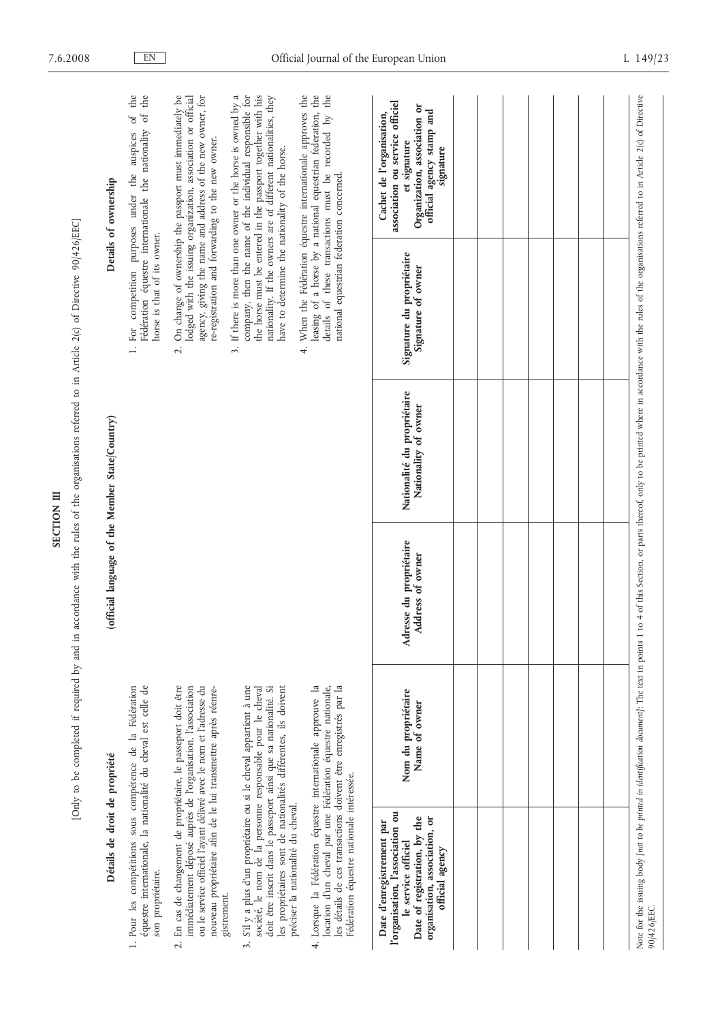| ì |  |
|---|--|
|   |  |
|   |  |

[Only to be completed if required by and in accordance with the rules of the organisations referred to in Article 2(c) of Directive 90/426/EEC] [Only to be completed if required by and in accordance with the rules of the organisations referred to in Article 2(c) of Directive 90/426/EEC]

| Détails de droit de propriété                                                                                                                                                                                                                                                                               |                                      |                                             | (official language of the Member State/Country)     |                                                                    | Details of ownership                                                                                                                                                                                                                                        |
|-------------------------------------------------------------------------------------------------------------------------------------------------------------------------------------------------------------------------------------------------------------------------------------------------------------|--------------------------------------|---------------------------------------------|-----------------------------------------------------|--------------------------------------------------------------------|-------------------------------------------------------------------------------------------------------------------------------------------------------------------------------------------------------------------------------------------------------------|
| équestre internationale, la nationalité du cheval est celle de<br>1. Pour les compétitions sous compétence de la Fédération<br>son propriétaire.                                                                                                                                                            |                                      |                                             |                                                     | horse is that of its owner.                                        | Fédération équestre internationale the nationality of the<br>1. For competition purposes under the auspices of the                                                                                                                                          |
| En cas de changement de propriétaire, le passeport doit être<br>immédiatement déposé auprès de l'organisation, l'association<br>ou le service officiel l'ayant délivré avec le nom et l'adresse du<br>nouveau propriétaire afin de le lui transmettre après réenre-                                         |                                      |                                             |                                                     | re-registration and forwarding to the new owner.<br>$\overline{c}$ | On change of ownership the passport must immediately be<br>agency, giving the name and address of the new owner, for<br>lodged with the issuing organization, association or official                                                                       |
| S'il y a plus d'un propriétaire ou si le cheval appartient à une<br>doit être inscrit dans le passeport ainsi que sa nationalité. Si<br>les propriétaires sont de nationalités différentes, ils doivent<br>société, le nom de la personne responsable pour le cheval<br>gistrement.<br>$\ddot{\mathcal{L}}$ |                                      |                                             |                                                     | have to determine the nationality of the horse.                    | company, then the name of the individual responsible for<br>the horse must be entered in the passport together with his<br>nationality. If the owners are of different nationalities, they<br>3. If there is more than one owner or the horse is owned by a |
| 4. Lorsque la Fédération équestre internationale approuve la<br>les détails de ces transactions doivent être enregistrés par la<br>location d'un cheval par une Fédération équestre nationale,<br>Fédération équestre nationale intéressée.<br>préciser la nationalité du cheval.                           |                                      |                                             |                                                     | national equestrian federation concerned.                          | 4. When the Fédération équestre internationale approves the<br>leasing of a horse by a national equestrian federation, the details of these transactions must be recorded by the                                                                            |
| l'organisation, l'association ou<br>organisation, association, or<br>Date of registration, by the<br>Date d'enregistrement par<br>le service officiel<br>official agency                                                                                                                                    | Nom du propriétaire<br>Name of owner | Adresse du propriétaire<br>Address of owner | Nationalité du propriétaire<br>Nationality of owner | Signature du propriétaire<br>Signature of owner                    | association ou service officiel<br>Organization, association or<br>official agency stamp and<br>Cachet de l'organisation,<br>et signature<br>signature                                                                                                      |
|                                                                                                                                                                                                                                                                                                             |                                      |                                             |                                                     |                                                                    |                                                                                                                                                                                                                                                             |
|                                                                                                                                                                                                                                                                                                             |                                      |                                             |                                                     |                                                                    |                                                                                                                                                                                                                                                             |
|                                                                                                                                                                                                                                                                                                             |                                      |                                             |                                                     |                                                                    |                                                                                                                                                                                                                                                             |
|                                                                                                                                                                                                                                                                                                             |                                      |                                             |                                                     |                                                                    |                                                                                                                                                                                                                                                             |
|                                                                                                                                                                                                                                                                                                             |                                      |                                             |                                                     |                                                                    |                                                                                                                                                                                                                                                             |
|                                                                                                                                                                                                                                                                                                             |                                      |                                             |                                                     |                                                                    |                                                                                                                                                                                                                                                             |
|                                                                                                                                                                                                                                                                                                             |                                      |                                             |                                                     |                                                                    |                                                                                                                                                                                                                                                             |
| Note for the issuing body [not to be printed in identification document]: The text in points 1 to 4 of this Section, or parts thereof, only to be printed where in accordance with the rules of the organisations referred to<br>90/426/EEC.                                                                |                                      |                                             |                                                     |                                                                    |                                                                                                                                                                                                                                                             |

| 'organisation, l'association ou<br>le service officiel<br>Date of registration, by the<br>organisation, association, or<br>Date d'enregistrement par<br>official agency | Nom du propriétaire<br>Name of owner                                                          | Adresse du propriétaire<br>Address of owner | Nationalité du propriétaire<br>Nationality of owner                                                                                                         | Signature du propriétaire<br>Signature of owner | association ou service officiel<br>Organization, association or<br>official agency stamp and<br>Cachet de l'organisation,<br>et signature<br>signature |
|-------------------------------------------------------------------------------------------------------------------------------------------------------------------------|-----------------------------------------------------------------------------------------------|---------------------------------------------|-------------------------------------------------------------------------------------------------------------------------------------------------------------|-------------------------------------------------|--------------------------------------------------------------------------------------------------------------------------------------------------------|
|                                                                                                                                                                         |                                                                                               |                                             |                                                                                                                                                             |                                                 |                                                                                                                                                        |
|                                                                                                                                                                         |                                                                                               |                                             |                                                                                                                                                             |                                                 |                                                                                                                                                        |
|                                                                                                                                                                         |                                                                                               |                                             |                                                                                                                                                             |                                                 |                                                                                                                                                        |
|                                                                                                                                                                         |                                                                                               |                                             |                                                                                                                                                             |                                                 |                                                                                                                                                        |
|                                                                                                                                                                         |                                                                                               |                                             |                                                                                                                                                             |                                                 |                                                                                                                                                        |
|                                                                                                                                                                         |                                                                                               |                                             |                                                                                                                                                             |                                                 |                                                                                                                                                        |
|                                                                                                                                                                         |                                                                                               |                                             |                                                                                                                                                             |                                                 |                                                                                                                                                        |
| 0/426/EEC.                                                                                                                                                              | ote for the issuing body [not to be printed in identification document]: The text in points 1 |                                             | to 4 of this Section, or parts thereof, only to be printed where in accordance with the rules of the organisations referred to in Article 2(c) of Directive |                                                 |                                                                                                                                                        |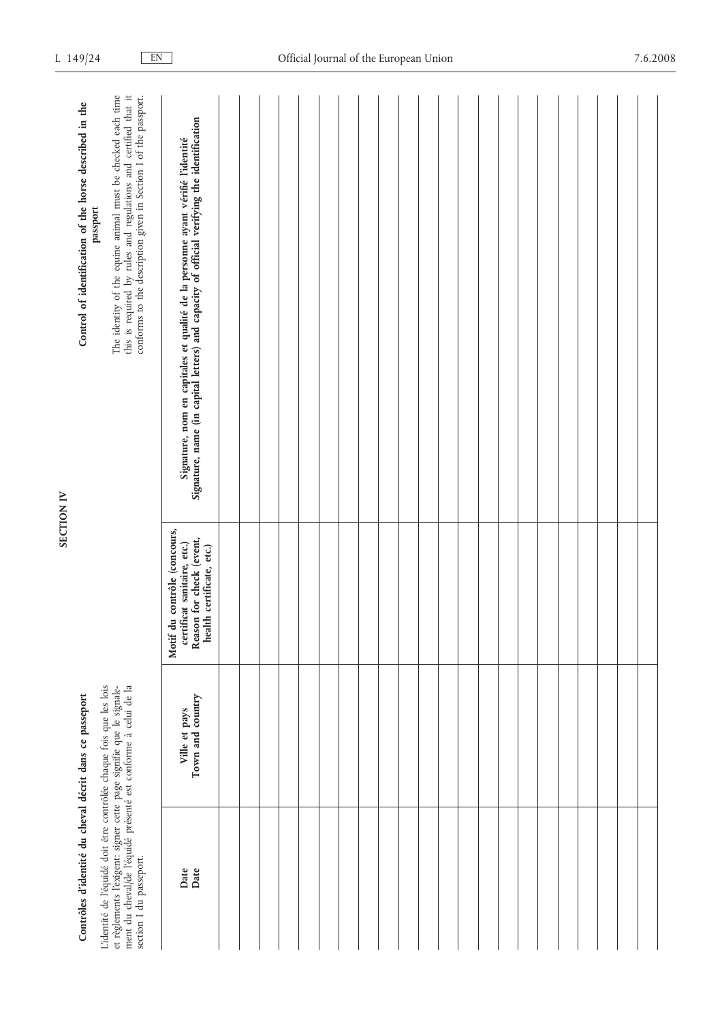| Í |
|---|
|   |
| Ξ |
|   |

| Contrôles d'identité du cheval décrit dans ce passeport                                                                                                                                                                                 |                                   |                                                                                                                      | Control of identification of the horse described in the                                                                                                                                                       |
|-----------------------------------------------------------------------------------------------------------------------------------------------------------------------------------------------------------------------------------------|-----------------------------------|----------------------------------------------------------------------------------------------------------------------|---------------------------------------------------------------------------------------------------------------------------------------------------------------------------------------------------------------|
| ment du cheval/de l'équidé présenté est conforme à celui de la<br>L'identité de l'équidé doit être contrôlée chaque fois que les lois<br>et règlements l'exigent: signer cette page signifie que le signale-<br>section I du passeport. |                                   |                                                                                                                      | The identity of the equine animal must be checked each time<br>this is required by rules and regulations and certified that it<br>conforms to the description given in Section I of the passport.<br>passport |
| Date<br>Date                                                                                                                                                                                                                            | Town and country<br>Ville et pays | Motif du contrôle (concours,<br>Reason for check (event,<br>certificat sanitaire, etc.)<br>health certificate, etc.) | Signature, nom en capitales et qualité de la personne ayant vérifié l'identité<br>Signature, name (in capital letters) and capacity of official verifying the identification                                  |
|                                                                                                                                                                                                                                         |                                   |                                                                                                                      |                                                                                                                                                                                                               |
|                                                                                                                                                                                                                                         |                                   |                                                                                                                      |                                                                                                                                                                                                               |
|                                                                                                                                                                                                                                         |                                   |                                                                                                                      |                                                                                                                                                                                                               |
|                                                                                                                                                                                                                                         |                                   |                                                                                                                      |                                                                                                                                                                                                               |
|                                                                                                                                                                                                                                         |                                   |                                                                                                                      |                                                                                                                                                                                                               |
|                                                                                                                                                                                                                                         |                                   |                                                                                                                      |                                                                                                                                                                                                               |
|                                                                                                                                                                                                                                         |                                   |                                                                                                                      |                                                                                                                                                                                                               |
|                                                                                                                                                                                                                                         |                                   |                                                                                                                      |                                                                                                                                                                                                               |
|                                                                                                                                                                                                                                         |                                   |                                                                                                                      |                                                                                                                                                                                                               |
|                                                                                                                                                                                                                                         |                                   |                                                                                                                      |                                                                                                                                                                                                               |
|                                                                                                                                                                                                                                         |                                   |                                                                                                                      |                                                                                                                                                                                                               |
|                                                                                                                                                                                                                                         |                                   |                                                                                                                      |                                                                                                                                                                                                               |
|                                                                                                                                                                                                                                         |                                   |                                                                                                                      |                                                                                                                                                                                                               |
|                                                                                                                                                                                                                                         |                                   |                                                                                                                      |                                                                                                                                                                                                               |
|                                                                                                                                                                                                                                         |                                   |                                                                                                                      |                                                                                                                                                                                                               |
|                                                                                                                                                                                                                                         |                                   |                                                                                                                      |                                                                                                                                                                                                               |
|                                                                                                                                                                                                                                         |                                   |                                                                                                                      |                                                                                                                                                                                                               |
|                                                                                                                                                                                                                                         |                                   |                                                                                                                      |                                                                                                                                                                                                               |
|                                                                                                                                                                                                                                         |                                   |                                                                                                                      |                                                                                                                                                                                                               |
|                                                                                                                                                                                                                                         |                                   |                                                                                                                      |                                                                                                                                                                                                               |
|                                                                                                                                                                                                                                         |                                   |                                                                                                                      |                                                                                                                                                                                                               |
|                                                                                                                                                                                                                                         |                                   |                                                                                                                      |                                                                                                                                                                                                               |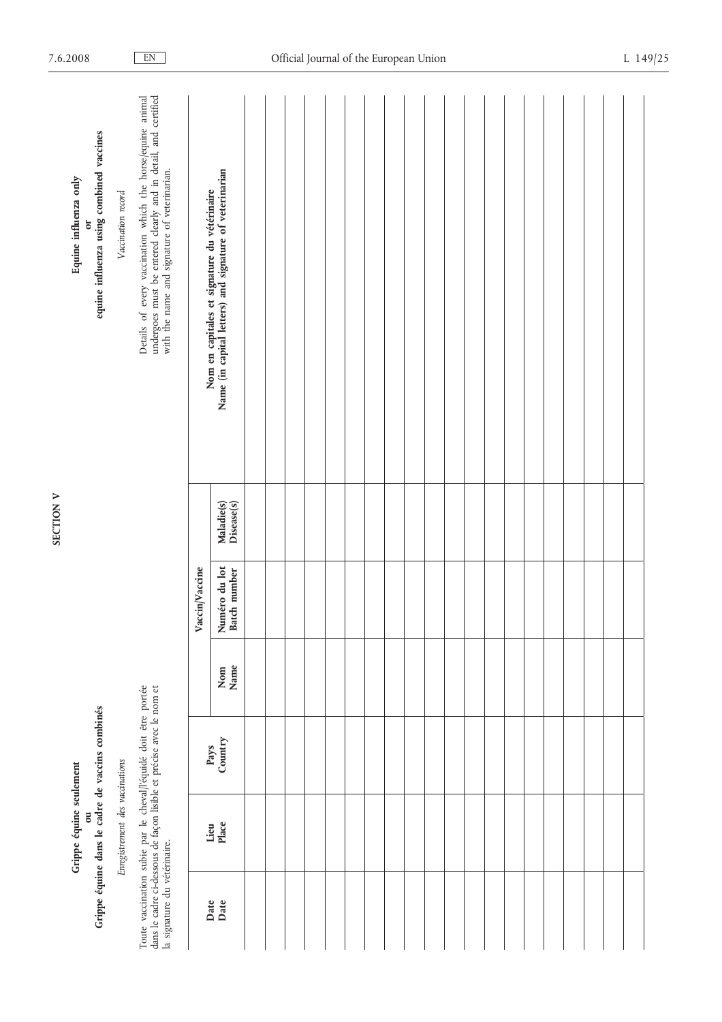|                                                                                                                                                                        | Grippe équine seulement<br>ö    | Grippe équine dans le cadre de vaccins combinés |             |                               |                          | equine influenza using combined vaccines<br>Equine influenza only<br>ð                                                                                                    |
|------------------------------------------------------------------------------------------------------------------------------------------------------------------------|---------------------------------|-------------------------------------------------|-------------|-------------------------------|--------------------------|---------------------------------------------------------------------------------------------------------------------------------------------------------------------------|
|                                                                                                                                                                        | Enregistrement des vaccinations |                                                 |             |                               |                          | Vaccination record                                                                                                                                                        |
| Toute vaccination subie par le cheval/l'équidé doit être portée<br>dans le cadre ci-dessous de façon lisible et précise avec le nom et<br>la signature du vétérinaire. |                                 |                                                 |             |                               |                          | Details of every vaccination which the horse/equine animal undergoes must be entered clearly and in detail, and certified<br>with the name and signature of veterinarian. |
|                                                                                                                                                                        |                                 |                                                 |             | Vaccin/Vaccine                |                          |                                                                                                                                                                           |
| Date<br>Date                                                                                                                                                           | Place<br>Lieu                   | Country<br>Pays                                 | Name<br>Nom | Numéro du lot<br>Batch number | Maladie(s)<br>Disease(s) | Nom en capitales et signature du vétérinaire<br>Name (in capital letters) and signature of veterinarian                                                                   |
|                                                                                                                                                                        |                                 |                                                 |             |                               |                          |                                                                                                                                                                           |
|                                                                                                                                                                        |                                 |                                                 |             |                               |                          |                                                                                                                                                                           |
|                                                                                                                                                                        |                                 |                                                 |             |                               |                          |                                                                                                                                                                           |
|                                                                                                                                                                        |                                 |                                                 |             |                               |                          |                                                                                                                                                                           |
|                                                                                                                                                                        |                                 |                                                 |             |                               |                          |                                                                                                                                                                           |
|                                                                                                                                                                        |                                 |                                                 |             |                               |                          |                                                                                                                                                                           |
|                                                                                                                                                                        |                                 |                                                 |             |                               |                          |                                                                                                                                                                           |
|                                                                                                                                                                        |                                 |                                                 |             |                               |                          |                                                                                                                                                                           |
|                                                                                                                                                                        |                                 |                                                 |             |                               |                          |                                                                                                                                                                           |
|                                                                                                                                                                        |                                 |                                                 |             |                               |                          |                                                                                                                                                                           |
|                                                                                                                                                                        |                                 |                                                 |             |                               |                          |                                                                                                                                                                           |
|                                                                                                                                                                        |                                 |                                                 |             |                               |                          |                                                                                                                                                                           |
|                                                                                                                                                                        |                                 |                                                 |             |                               |                          |                                                                                                                                                                           |
|                                                                                                                                                                        |                                 |                                                 |             |                               |                          |                                                                                                                                                                           |
|                                                                                                                                                                        |                                 |                                                 |             |                               |                          |                                                                                                                                                                           |
|                                                                                                                                                                        |                                 |                                                 |             |                               |                          |                                                                                                                                                                           |
|                                                                                                                                                                        |                                 |                                                 |             |                               |                          |                                                                                                                                                                           |
|                                                                                                                                                                        |                                 |                                                 |             |                               |                          |                                                                                                                                                                           |
|                                                                                                                                                                        |                                 |                                                 |             |                               |                          |                                                                                                                                                                           |
|                                                                                                                                                                        |                                 |                                                 |             |                               |                          |                                                                                                                                                                           |

 $\overline{a}$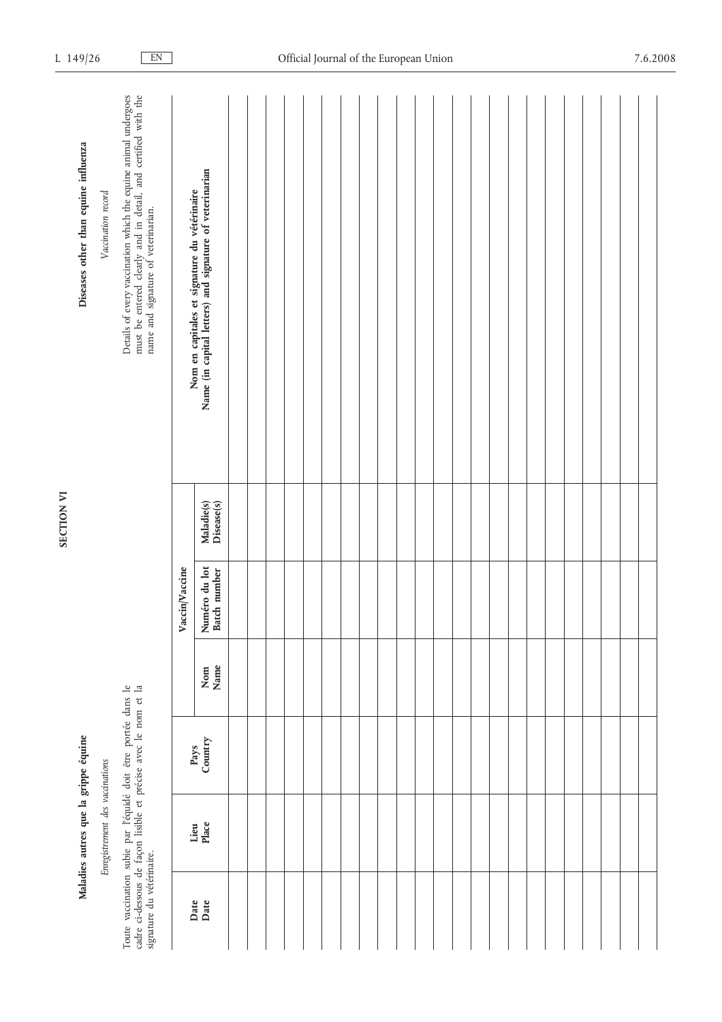|                           | Maladies autres que la grippe équine |                                                                                                                              |             |                               |                          | Diseases other than equine influenza                                                                                                                                |
|---------------------------|--------------------------------------|------------------------------------------------------------------------------------------------------------------------------|-------------|-------------------------------|--------------------------|---------------------------------------------------------------------------------------------------------------------------------------------------------------------|
|                           | Enregistrement des vaccinations      |                                                                                                                              |             |                               |                          | Vaccination record                                                                                                                                                  |
| signature du vétérinaire. |                                      | Toute vaccination subie par l'équidé doit être portée dans le cadre ci-dessous de façon lisible et précise avec le nom et la |             |                               |                          | Details of every vaccination which the equine animal undergoes must be entered clearly and in detail, and certified with the<br>name and signature of veterinarian. |
|                           |                                      |                                                                                                                              |             | Vaccin/Vaccine                |                          |                                                                                                                                                                     |
| Date<br>Date              | Place<br>Lieu                        | Country<br>Pays                                                                                                              | Nom<br>Name | Numéro du lot<br>Batch number | Maladie(s)<br>Disease(s) | Nom en capitales et signature du vétérinaire<br>Name (in capital letters) and signature of veterinarian                                                             |
|                           |                                      |                                                                                                                              |             |                               |                          |                                                                                                                                                                     |
|                           |                                      |                                                                                                                              |             |                               |                          |                                                                                                                                                                     |
|                           |                                      |                                                                                                                              |             |                               |                          |                                                                                                                                                                     |
|                           |                                      |                                                                                                                              |             |                               |                          |                                                                                                                                                                     |
|                           |                                      |                                                                                                                              |             |                               |                          |                                                                                                                                                                     |
|                           |                                      |                                                                                                                              |             |                               |                          |                                                                                                                                                                     |
|                           |                                      |                                                                                                                              |             |                               |                          |                                                                                                                                                                     |
|                           |                                      |                                                                                                                              |             |                               |                          |                                                                                                                                                                     |
|                           |                                      |                                                                                                                              |             |                               |                          |                                                                                                                                                                     |
|                           |                                      |                                                                                                                              |             |                               |                          |                                                                                                                                                                     |
|                           |                                      |                                                                                                                              |             |                               |                          |                                                                                                                                                                     |
|                           |                                      |                                                                                                                              |             |                               |                          |                                                                                                                                                                     |
|                           |                                      |                                                                                                                              |             |                               |                          |                                                                                                                                                                     |
|                           |                                      |                                                                                                                              |             |                               |                          |                                                                                                                                                                     |
|                           |                                      |                                                                                                                              |             |                               |                          |                                                                                                                                                                     |
|                           |                                      |                                                                                                                              |             |                               |                          |                                                                                                                                                                     |
|                           |                                      |                                                                                                                              |             |                               |                          |                                                                                                                                                                     |
|                           |                                      |                                                                                                                              |             |                               |                          |                                                                                                                                                                     |
|                           |                                      |                                                                                                                              |             |                               |                          |                                                                                                                                                                     |
|                           |                                      |                                                                                                                              |             |                               |                          |                                                                                                                                                                     |
|                           |                                      |                                                                                                                              |             |                               |                          |                                                                                                                                                                     |
|                           |                                      |                                                                                                                              |             |                               |                          |                                                                                                                                                                     |
|                           |                                      |                                                                                                                              |             |                               |                          |                                                                                                                                                                     |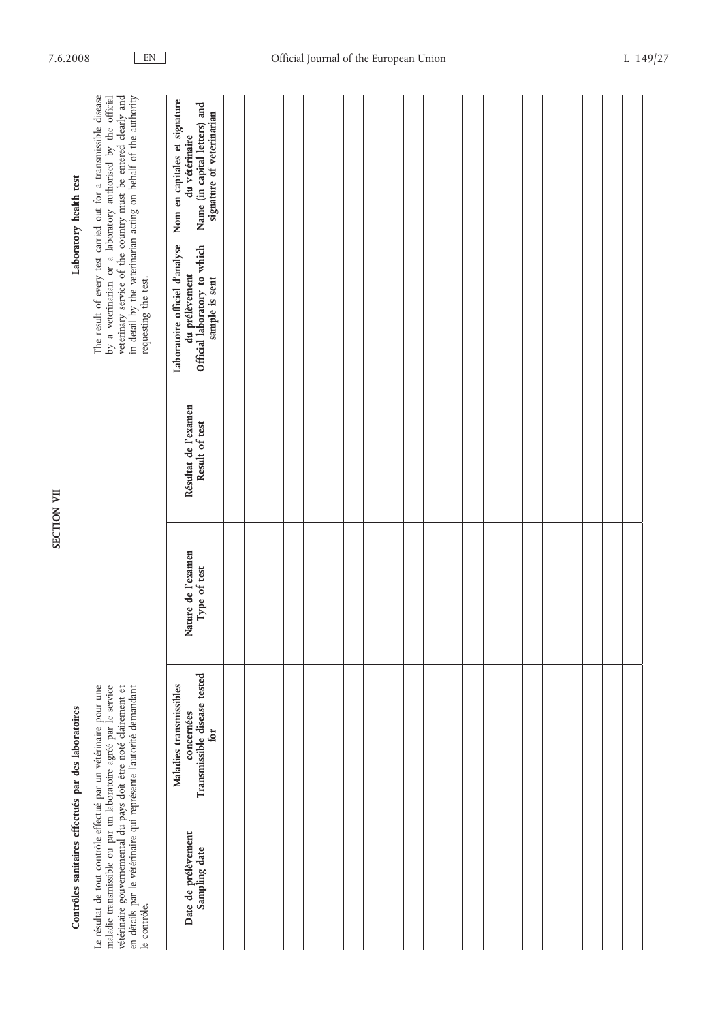| ī |  |
|---|--|

### Contrôles sanitaires effectués par des laboratoires **Contrôles sanitaires effectués par des laboratoires**

Laboratory health test

| Contrôles sanitaires effectués par des laboratoires                                                                                                                                                                                                                                           |                                                                                       |                                    |                                        |                                                                                                    | Laboratory health test                                                                                                                                                                                                                                               |  |
|-----------------------------------------------------------------------------------------------------------------------------------------------------------------------------------------------------------------------------------------------------------------------------------------------|---------------------------------------------------------------------------------------|------------------------------------|----------------------------------------|----------------------------------------------------------------------------------------------------|----------------------------------------------------------------------------------------------------------------------------------------------------------------------------------------------------------------------------------------------------------------------|--|
| maladie transmissible ou par un laboratoire agréé par le service<br>Le résultat de tout contrôle effectué par un vétérinaire pour une<br>vétérinaire gouvernemental du pays doit être noté clairement et<br>en détails par le vétérinaire qui représente l'autorité demandant<br>le contrôle. |                                                                                       |                                    |                                        | requesting the test.                                                                               | by a veterinarian or a laboratory authorised by the official<br>veterinary service of the country must be entered clearly and<br>in detail by the veterinarian acting on behalf of the authority<br>The result of every test carried out for a transmissible disease |  |
| Date de prélèvement<br>Sampling date                                                                                                                                                                                                                                                          | Transmissible disease tested<br>Maladies transmissibles<br>concernées<br>$f_{\rm O}r$ | Nature de l'examen<br>Type of test | Résultat de l'examen<br>Result of test | Laboratoire officiel d'analyse<br>Official laboratory to which<br>du prélèvement<br>sample is sent | Nom en capitales et signature<br>Name (in capital letters) and<br>signature of veterinarian<br>du vétérinaire                                                                                                                                                        |  |
|                                                                                                                                                                                                                                                                                               |                                                                                       |                                    |                                        |                                                                                                    |                                                                                                                                                                                                                                                                      |  |
|                                                                                                                                                                                                                                                                                               |                                                                                       |                                    |                                        |                                                                                                    |                                                                                                                                                                                                                                                                      |  |
|                                                                                                                                                                                                                                                                                               |                                                                                       |                                    |                                        |                                                                                                    |                                                                                                                                                                                                                                                                      |  |
|                                                                                                                                                                                                                                                                                               |                                                                                       |                                    |                                        |                                                                                                    |                                                                                                                                                                                                                                                                      |  |
|                                                                                                                                                                                                                                                                                               |                                                                                       |                                    |                                        |                                                                                                    |                                                                                                                                                                                                                                                                      |  |
|                                                                                                                                                                                                                                                                                               |                                                                                       |                                    |                                        |                                                                                                    |                                                                                                                                                                                                                                                                      |  |
|                                                                                                                                                                                                                                                                                               |                                                                                       |                                    |                                        |                                                                                                    |                                                                                                                                                                                                                                                                      |  |
|                                                                                                                                                                                                                                                                                               |                                                                                       |                                    |                                        |                                                                                                    |                                                                                                                                                                                                                                                                      |  |
|                                                                                                                                                                                                                                                                                               |                                                                                       |                                    |                                        |                                                                                                    |                                                                                                                                                                                                                                                                      |  |
|                                                                                                                                                                                                                                                                                               |                                                                                       |                                    |                                        |                                                                                                    |                                                                                                                                                                                                                                                                      |  |
|                                                                                                                                                                                                                                                                                               |                                                                                       |                                    |                                        |                                                                                                    |                                                                                                                                                                                                                                                                      |  |
|                                                                                                                                                                                                                                                                                               |                                                                                       |                                    |                                        |                                                                                                    |                                                                                                                                                                                                                                                                      |  |
|                                                                                                                                                                                                                                                                                               |                                                                                       |                                    |                                        |                                                                                                    |                                                                                                                                                                                                                                                                      |  |
|                                                                                                                                                                                                                                                                                               |                                                                                       |                                    |                                        |                                                                                                    |                                                                                                                                                                                                                                                                      |  |
|                                                                                                                                                                                                                                                                                               |                                                                                       |                                    |                                        |                                                                                                    |                                                                                                                                                                                                                                                                      |  |
|                                                                                                                                                                                                                                                                                               |                                                                                       |                                    |                                        |                                                                                                    |                                                                                                                                                                                                                                                                      |  |
|                                                                                                                                                                                                                                                                                               |                                                                                       |                                    |                                        |                                                                                                    |                                                                                                                                                                                                                                                                      |  |
|                                                                                                                                                                                                                                                                                               |                                                                                       |                                    |                                        |                                                                                                    |                                                                                                                                                                                                                                                                      |  |
|                                                                                                                                                                                                                                                                                               |                                                                                       |                                    |                                        |                                                                                                    |                                                                                                                                                                                                                                                                      |  |
|                                                                                                                                                                                                                                                                                               |                                                                                       |                                    |                                        |                                                                                                    |                                                                                                                                                                                                                                                                      |  |
|                                                                                                                                                                                                                                                                                               |                                                                                       |                                    |                                        |                                                                                                    |                                                                                                                                                                                                                                                                      |  |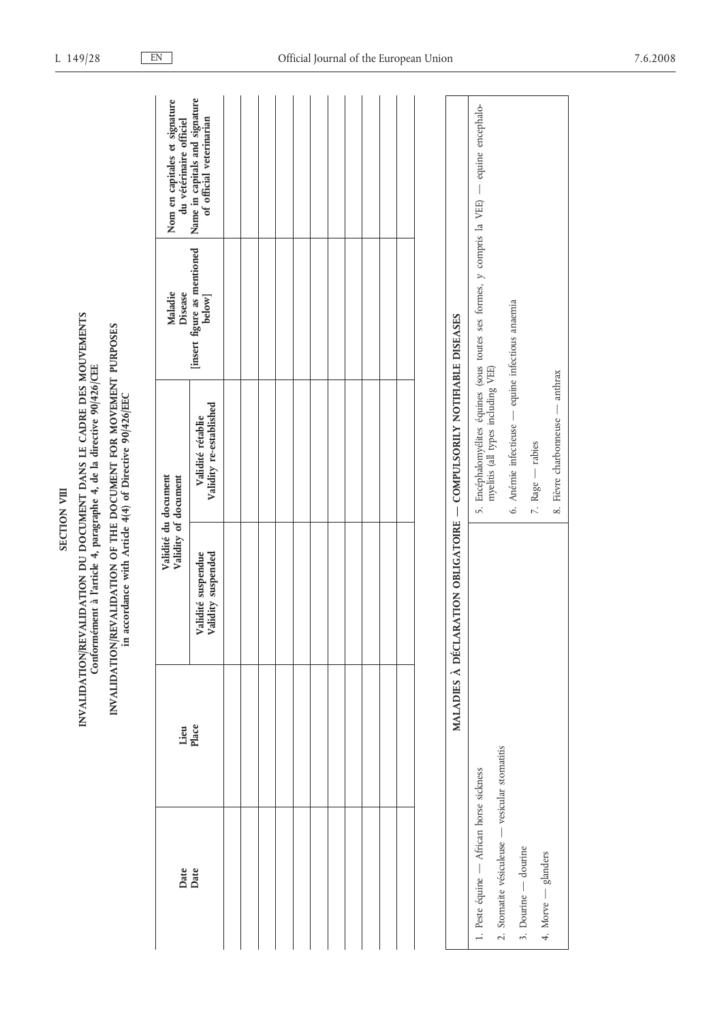## INVALIDATION/REVALIDATION DU DOCUMENT DANS LE CADRE DES MOUVEMENTS<br>Conformément à l'article 4, paragraphe 4, de la directive 90/426/CEE INVALIDATION/REVALIDATION DU DOCUMENT DANS LE CADRE DES MOUVEMENTS<br>Conformément à l'article 4, paragraphe 4, de la directive 90/426/CEE<br>INVALIDATION/REVALIDATION OF THE DOCUMENT FOR MOVEMENT PURPOSES<br>in accordance with Art

# INVALIDATION/REVALIDATION OF THE DOCUMENT FOR MOVEMENT PURPOSES<br>in accordance with Article 4(4) of Directive 90/426/EEC

| Date<br>Date | Lieu<br>Place            | Validity of document                     | Validité du document                                  | Maladie<br><b>Disease</b>             | Nom en capitales et signature<br>du vétérinaire officiel   |
|--------------|--------------------------|------------------------------------------|-------------------------------------------------------|---------------------------------------|------------------------------------------------------------|
|              |                          | Validité suspendue<br>Validity suspended | Validity re-established<br>Validité rétablie          | [insert figure as mentioned<br>below] | Name in capitals and signature<br>of official veterinarian |
|              |                          |                                          |                                                       |                                       |                                                            |
|              |                          |                                          |                                                       |                                       |                                                            |
|              |                          |                                          |                                                       |                                       |                                                            |
|              |                          |                                          |                                                       |                                       |                                                            |
|              |                          |                                          |                                                       |                                       |                                                            |
|              |                          |                                          |                                                       |                                       |                                                            |
|              |                          |                                          |                                                       |                                       |                                                            |
|              |                          |                                          |                                                       |                                       |                                                            |
|              |                          |                                          |                                                       |                                       |                                                            |
|              |                          |                                          |                                                       |                                       |                                                            |
|              |                          |                                          |                                                       |                                       |                                                            |
|              |                          |                                          |                                                       |                                       |                                                            |
|              | <b>MALADIES À DÉCLAI</b> |                                          | RATION OBLIGATOIRE - COMPULSORILY NOTIFIABLE DISEASES |                                       |                                                            |

| MALADIES À DÉCLARATION OBLIGATOIRE - COMPULSORILY NOTIFIABLE DISEASES |                                                                                                                               |
|-----------------------------------------------------------------------|-------------------------------------------------------------------------------------------------------------------------------|
| 1. Peste équine — African horse sickness                              | 5. Encéphalomyélites équines (sous toutes ses formes, y compris la VEE) — equine encephalo-myelitis (all types including VEE) |
| 2. Stomatite vésiculeuse — vesicular stomatitis                       |                                                                                                                               |
| 3. Dourine — dourine                                                  | 6. Anémie infectieuse — equine infectious anaemia                                                                             |
|                                                                       | 7. Rage — rabies                                                                                                              |
| 4. Morve — glanders                                                   | 8. Fièvre charbonneuse — anthrax                                                                                              |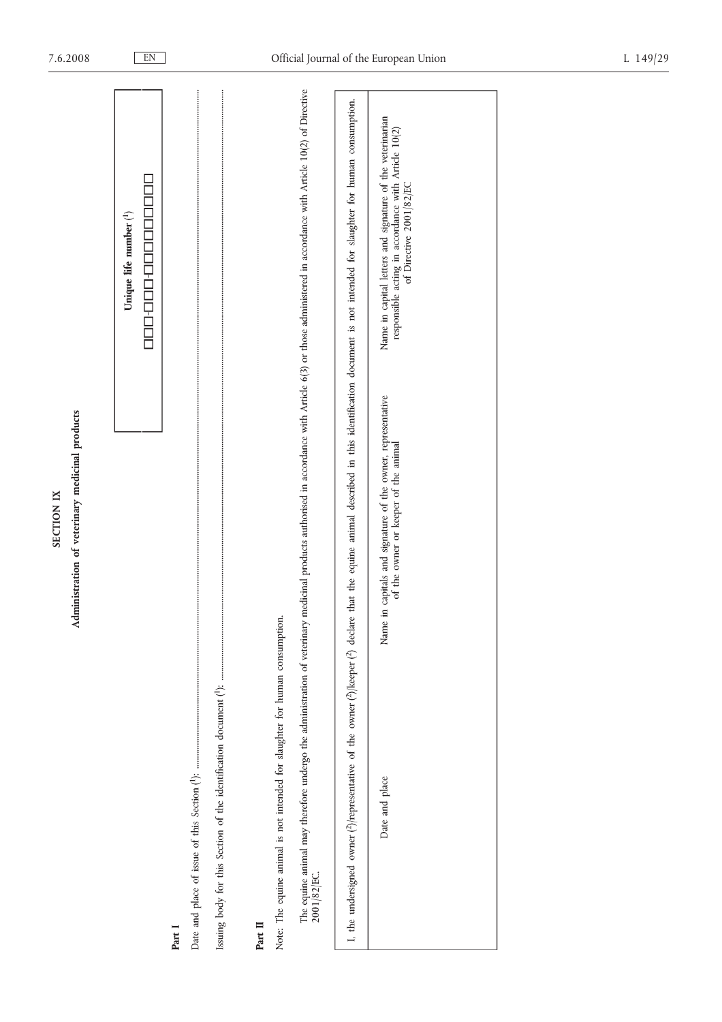|                   | medic           |
|-------------------|-----------------|
| <b>SECTION IX</b> | terinary 1<br>Ľ |
|                   |                 |
|                   |                 |

| Unique life number <sup>(1</sup> )                                                                                                                                                                                           |  |
|------------------------------------------------------------------------------------------------------------------------------------------------------------------------------------------------------------------------------|--|
| 000-00-00-0000000                                                                                                                                                                                                            |  |
| Part I                                                                                                                                                                                                                       |  |
|                                                                                                                                                                                                                              |  |
|                                                                                                                                                                                                                              |  |
| Part II                                                                                                                                                                                                                      |  |
| Note: The equine animal is not intended for slaughter for human consumption.                                                                                                                                                 |  |
| medicinal products authorised in accordance with Article 6(3) or those administered in accordance with Article 10(2) of Directive<br>The equine animal may therefore undergo the administration of veterinary<br>2001/82/EC. |  |
| I the undersimed owner Alternesentrice of the owner (Alberner (A) declare that the equino animal described in this identification document is not intended for slaughter for burman consumption                              |  |

| re that the equine animal described in this identification document is not intended for slaughter for human consumption.                   | Name in capital letters and signature of the veterinarian<br>responsible acting in accordance with Article 10(2)<br>of Directive 2001/82/EC |  |
|--------------------------------------------------------------------------------------------------------------------------------------------|---------------------------------------------------------------------------------------------------------------------------------------------|--|
|                                                                                                                                            | in capitals and signature of the owner, representative<br>of the owner or keeper of the animal<br>Vame                                      |  |
| t, the undersigned owner ( $\frac{\lambda}{n}$ ) representative of the owner ( $\frac{\lambda}{n}$ ) keeper ( $\frac{\lambda}{n}$ ) declar | Date and place                                                                                                                              |  |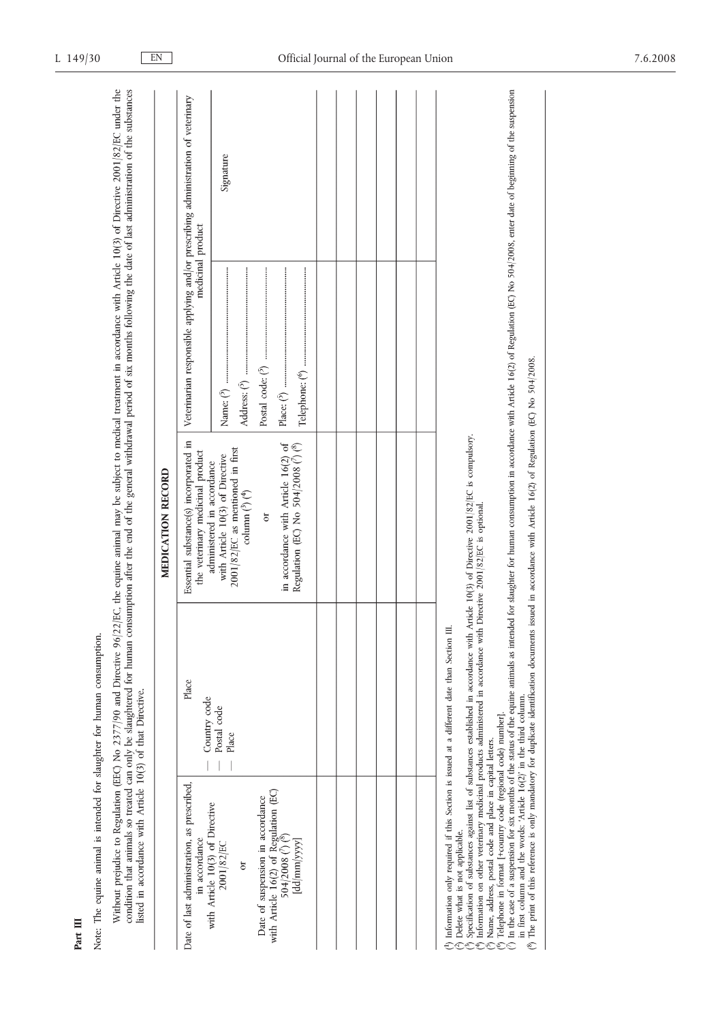|                                                                                                                                                            |                       | MEDICATION RECORD                                                                                                                          |                                                                                                        |           |
|------------------------------------------------------------------------------------------------------------------------------------------------------------|-----------------------|--------------------------------------------------------------------------------------------------------------------------------------------|--------------------------------------------------------------------------------------------------------|-----------|
| Date of last administration, as prescribed,<br>in accordance                                                                                               | Place<br>Country code | Essential substance(s) incorporated in<br>the veterinary medicinal product                                                                 | Veterinarian responsible applying and/or prescribing administration of veterinary<br>medicinal product |           |
| with Article 10(3) of Directive<br>2001/82/EC<br>ð                                                                                                         | Postal code<br>Place  | 2001/82/EC as mentioned in first<br>with Article 10(3) of Directive<br>administered in accordance<br>column $({}^{3})$ ( ${}^{4})$         |                                                                                                        | Signature |
| Date of suspension in accordance                                                                                                                           |                       | ð                                                                                                                                          |                                                                                                        |           |
| with Article 16(2) of Regulation (EC)<br>504/2008 $(7)$ <sup>8</sup><br>[dd/mm/yyy]                                                                        |                       | in accordance with Article 16(2) of<br>Regulation (EC) No $504/2008$ $\binom{7}{1}$ ( $\binom{8}{1}$                                       |                                                                                                        |           |
|                                                                                                                                                            |                       |                                                                                                                                            |                                                                                                        |           |
|                                                                                                                                                            |                       |                                                                                                                                            |                                                                                                        |           |
|                                                                                                                                                            |                       |                                                                                                                                            |                                                                                                        |           |
|                                                                                                                                                            |                       |                                                                                                                                            |                                                                                                        |           |
|                                                                                                                                                            |                       |                                                                                                                                            |                                                                                                        |           |
|                                                                                                                                                            |                       |                                                                                                                                            |                                                                                                        |           |
| <sup>(1</sup> ) Information only required if this Section is issued at a different date than Section III.<br><sup>2</sup> ) Delete what is not applicable. |                       | Specification of substances against list of substances established in accordance with Article 10(3) of Directive 2001/82/EC is compulsory. |                                                                                                        |           |

7) In the case of a suspension for six months of the staty.<br>1) In the case of a suspension for six months of the state of the equine animals as intended for slaughter for human consumption in accordance with Article 16(2)

Part III

Note: The equine animal is intended for slaughter for human consumption.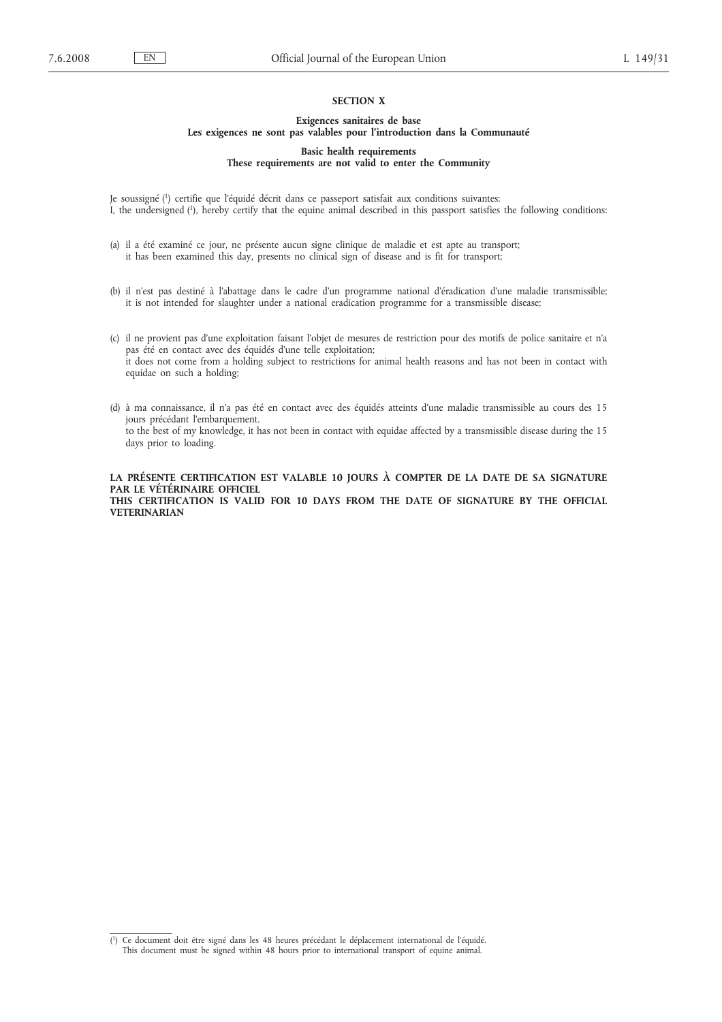### **SECTION X**

### **Exigences sanitaires de base**

### **Les exigences ne sont pas valables pour l'introduction dans la Communauté**

**Basic health requirements These requirements are not valid to enter the Community**

Je soussigné (1) certifie que l'équidé décrit dans ce passeport satisfait aux conditions suivantes: I, the undersigned (1), hereby certify that the equine animal described in this passport satisfies the following conditions:

- (a) il a été examiné ce jour, ne présente aucun signe clinique de maladie et est apte au transport; it has been examined this day, presents no clinical sign of disease and is fit for transport;
- (b) il n'est pas destiné à l'abattage dans le cadre d'un programme national d'éradication d'une maladie transmissible; it is not intended for slaughter under a national eradication programme for a transmissible disease;
- (c) il ne provient pas d'une exploitation faisant l'objet de mesures de restriction pour des motifs de police sanitaire et n'a pas été en contact avec des équidés d'une telle exploitation; it does not come from a holding subject to restrictions for animal health reasons and has not been in contact with equidae on such a holding;
- (d) à ma connaissance, il n'a pas été en contact avec des équidés atteints d'une maladie transmissible au cours des 15 jours précédant l'embarquement. to the best of my knowledge, it has not been in contact with equidae affected by a transmissible disease during the 15 days prior to loading.

**LA PRÉSENTE CERTIFICATION EST VALABLE 10 JOURS À COMPTER DE LA DATE DE SA SIGNATURE PAR LE VÉTÉRINAIRE OFFICIEL THIS CERTIFICATION IS VALID FOR 10 DAYS FROM THE DATE OF SIGNATURE BY THE OFFICIAL VETERINARIAN**

<sup>(</sup> 1) Ce document doit être signé dans les 48 heures précédant le déplacement international de l'équidé. This document must be signed within 48 hours prior to international transport of equine animal.